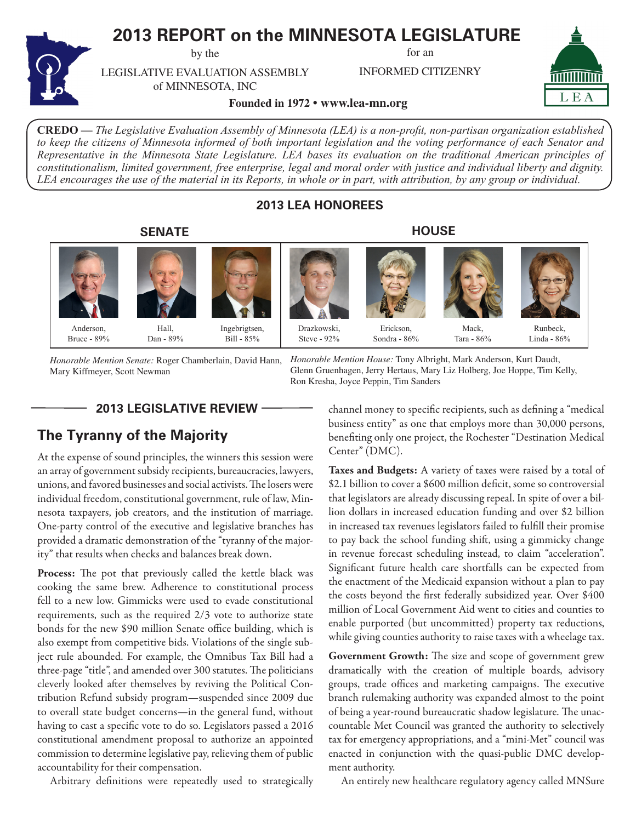# **2013 REPORT on the MINNESOTA LEGISLATURE**

by the

for an

INFORMED CITIZENRY



LEGISLATIVE EVALUATION ASSEMBLY of MINNESOTA, INC

**Founded in 1972 • www.lea-mn.org**

**CREDO —** *The Legislative Evaluation Assembly of Minnesota (LEA) is a non-profit, non-partisan organization established to keep the citizens of Minnesota informed of both important legislation and the voting performance of each Senator and Representative in the Minnesota State Legislature. LEA bases its evaluation on the traditional American principles of constitutionalism, limited government, free enterprise, legal and moral order with justice and individual liberty and dignity. LEA encourages the use of the material in its Reports, in whole or in part, with attribution, by any group or individual.*

# **2013 LEA HONOREES**

Drazkowski,

# **SENATE**





Ingebrigtsen, Bill - 85%

**HOUSE**



Erickson, Sondra - 86%



Runbeck,

Linda - 86%

Anderson, Bruce - 89%

Hall, Dan - 89%

*Honorable Mention Senate:* Roger Chamberlain, David Hann,

*Honorable Mention House:* Tony Albright, Mark Anderson, Kurt Daudt, Glenn Gruenhagen, Jerry Hertaus, Mary Liz Holberg, Joe Hoppe, Tim Kelly, Ron Kresha, Joyce Peppin, Tim Sanders Steve - 92%

Mary Kiffmeyer, Scott Newman

**2013 LEGISLATIVE REVIEW**

# **The Tyranny of the Majority**

At the expense of sound principles, the winners this session were an array of government subsidy recipients, bureaucracies, lawyers, unions, and favored businesses and social activists. The losers were individual freedom, constitutional government, rule of law, Minnesota taxpayers, job creators, and the institution of marriage. One-party control of the executive and legislative branches has provided a dramatic demonstration of the "tyranny of the majority" that results when checks and balances break down.

Process: The pot that previously called the kettle black was cooking the same brew. Adherence to constitutional process fell to a new low. Gimmicks were used to evade constitutional requirements, such as the required 2/3 vote to authorize state bonds for the new \$90 million Senate office building, which is also exempt from competitive bids. Violations of the single subject rule abounded. For example, the Omnibus Tax Bill had a three-page "title", and amended over 300 statutes. The politicians cleverly looked after themselves by reviving the Political Contribution Refund subsidy program—suspended since 2009 due to overall state budget concerns—in the general fund, without having to cast a specific vote to do so. Legislators passed a 2016 constitutional amendment proposal to authorize an appointed commission to determine legislative pay, relieving them of public accountability for their compensation.

Arbitrary definitions were repeatedly used to strategically

channel money to specific recipients, such as defining a "medical business entity" as one that employs more than 30,000 persons, benefiting only one project, the Rochester "Destination Medical Center" (DMC).

Mack, Tara - 86%

Taxes and Budgets: A variety of taxes were raised by a total of \$2.1 billion to cover a \$600 million deficit, some so controversial that legislators are already discussing repeal. In spite of over a billion dollars in increased education funding and over \$2 billion in increased tax revenues legislators failed to fulfill their promise to pay back the school funding shift, using a gimmicky change in revenue forecast scheduling instead, to claim "acceleration". Significant future health care shortfalls can be expected from the enactment of the Medicaid expansion without a plan to pay the costs beyond the first federally subsidized year. Over \$400 million of Local Government Aid went to cities and counties to enable purported (but uncommitted) property tax reductions, while giving counties authority to raise taxes with a wheelage tax.

Government Growth: The size and scope of government grew dramatically with the creation of multiple boards, advisory groups, trade offices and marketing campaigns. The executive branch rulemaking authority was expanded almost to the point of being a year-round bureaucratic shadow legislature. The unaccountable Met Council was granted the authority to selectively tax for emergency appropriations, and a "mini-Met" council was enacted in conjunction with the quasi-public DMC development authority.

An entirely new healthcare regulatory agency called MNSure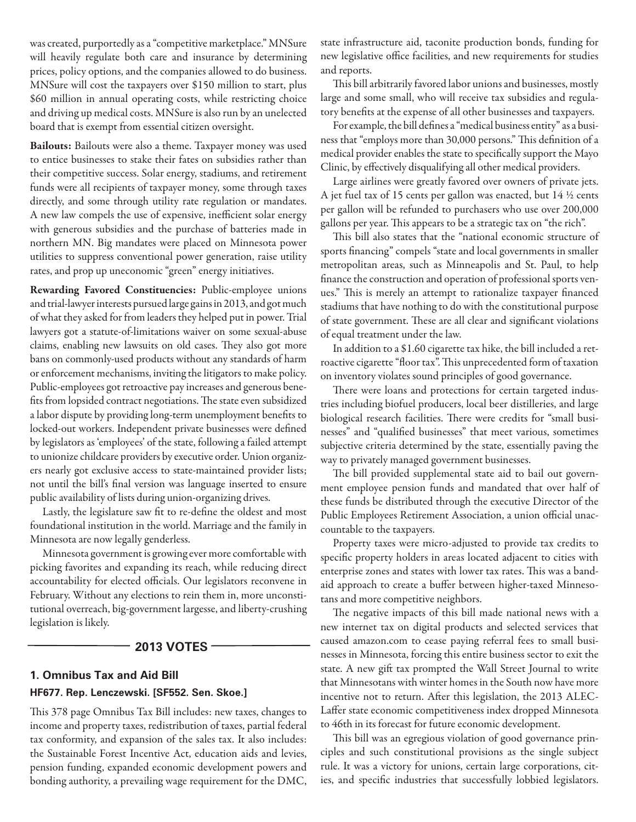was created, purportedly as a "competitive marketplace." MNSure will heavily regulate both care and insurance by determining prices, policy options, and the companies allowed to do business. MNSure will cost the taxpayers over \$150 million to start, plus \$60 million in annual operating costs, while restricting choice and driving up medical costs. MNSure is also run by an unelected board that is exempt from essential citizen oversight.

Bailouts: Bailouts were also a theme. Taxpayer money was used to entice businesses to stake their fates on subsidies rather than their competitive success. Solar energy, stadiums, and retirement funds were all recipients of taxpayer money, some through taxes directly, and some through utility rate regulation or mandates. A new law compels the use of expensive, inefficient solar energy with generous subsidies and the purchase of batteries made in northern MN. Big mandates were placed on Minnesota power utilities to suppress conventional power generation, raise utility rates, and prop up uneconomic "green" energy initiatives.

Rewarding Favored Constituencies: Public-employee unions and trial-lawyer interests pursued large gains in 2013, and got much of what they asked for from leaders they helped put in power. Trial lawyers got a statute-of-limitations waiver on some sexual-abuse claims, enabling new lawsuits on old cases. They also got more bans on commonly-used products without any standards of harm or enforcement mechanisms, inviting the litigators to make policy. Public-employees got retroactive pay increases and generous benefits from lopsided contract negotiations. The state even subsidized a labor dispute by providing long-term unemployment benefits to locked-out workers. Independent private businesses were defined by legislators as 'employees' of the state, following a failed attempt to unionize childcare providers by executive order. Union organizers nearly got exclusive access to state-maintained provider lists; not until the bill's final version was language inserted to ensure public availability of lists during union-organizing drives.

Lastly, the legislature saw fit to re-define the oldest and most foundational institution in the world. Marriage and the family in Minnesota are now legally genderless.

Minnesota government is growing ever more comfortable with picking favorites and expanding its reach, while reducing direct accountability for elected officials. Our legislators reconvene in February. Without any elections to rein them in, more unconstitutional overreach, big-government largesse, and liberty-crushing legislation is likely.

### **2013 VOTES**

# **1. Omnibus Tax and Aid Bill HF677. Rep. Lenczewski. [SF552. Sen. Skoe.]**

This 378 page Omnibus Tax Bill includes: new taxes, changes to income and property taxes, redistribution of taxes, partial federal tax conformity, and expansion of the sales tax. It also includes: the Sustainable Forest Incentive Act, education aids and levies, pension funding, expanded economic development powers and bonding authority, a prevailing wage requirement for the DMC,

state infrastructure aid, taconite production bonds, funding for new legislative office facilities, and new requirements for studies and reports.

This bill arbitrarily favored labor unions and businesses, mostly large and some small, who will receive tax subsidies and regulatory benefits at the expense of all other businesses and taxpayers.

For example, the bill defines a "medical business entity" as a business that "employs more than 30,000 persons." This definition of a medical provider enables the state to specifically support the Mayo Clinic, by effectively disqualifying all other medical providers.

Large airlines were greatly favored over owners of private jets. A jet fuel tax of 15 cents per gallon was enacted, but 14 ½ cents per gallon will be refunded to purchasers who use over 200,000 gallons per year. This appears to be a strategic tax on "the rich".

This bill also states that the "national economic structure of sports financing" compels "state and local governments in smaller metropolitan areas, such as Minneapolis and St. Paul, to help finance the construction and operation of professional sports venues." This is merely an attempt to rationalize taxpayer financed stadiums that have nothing to do with the constitutional purpose of state government. These are all clear and significant violations of equal treatment under the law.

In addition to a \$1.60 cigarette tax hike, the bill included a retroactive cigarette "floor tax". This unprecedented form of taxation on inventory violates sound principles of good governance.

There were loans and protections for certain targeted industries including biofuel producers, local beer distilleries, and large biological research facilities. There were credits for "small businesses" and "qualified businesses" that meet various, sometimes subjective criteria determined by the state, essentially paving the way to privately managed government businesses.

The bill provided supplemental state aid to bail out government employee pension funds and mandated that over half of these funds be distributed through the executive Director of the Public Employees Retirement Association, a union official unaccountable to the taxpayers.

Property taxes were micro-adjusted to provide tax credits to specific property holders in areas located adjacent to cities with enterprise zones and states with lower tax rates. This was a bandaid approach to create a buffer between higher-taxed Minnesotans and more competitive neighbors.

The negative impacts of this bill made national news with a new internet tax on digital products and selected services that caused amazon.com to cease paying referral fees to small businesses in Minnesota, forcing this entire business sector to exit the state. A new gift tax prompted the Wall Street Journal to write that Minnesotans with winter homes in the South now have more incentive not to return. After this legislation, the 2013 ALEC-Laffer state economic competitiveness index dropped Minnesota to 46th in its forecast for future economic development.

This bill was an egregious violation of good governance principles and such constitutional provisions as the single subject rule. It was a victory for unions, certain large corporations, cities, and specific industries that successfully lobbied legislators.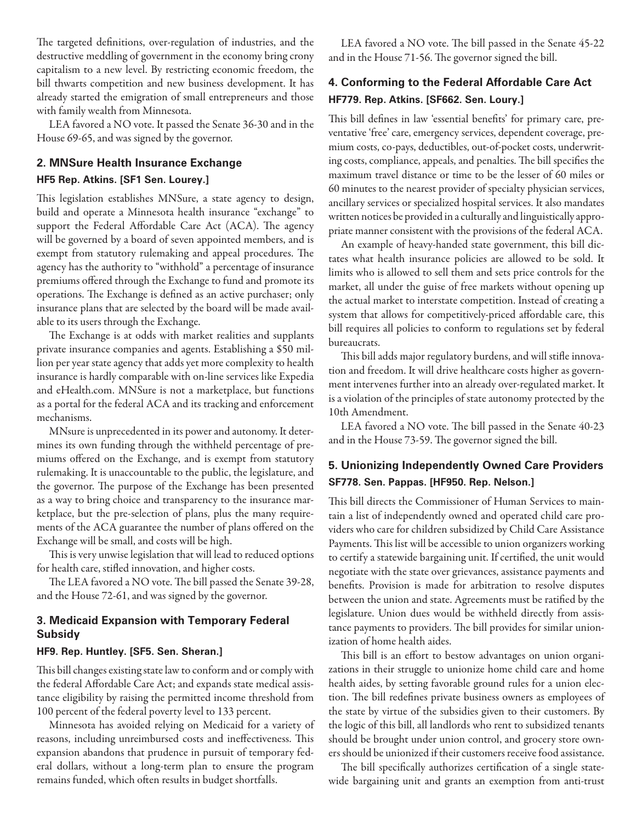The targeted definitions, over-regulation of industries, and the destructive meddling of government in the economy bring crony capitalism to a new level. By restricting economic freedom, the bill thwarts competition and new business development. It has already started the emigration of small entrepreneurs and those with family wealth from Minnesota.

LEA favored a NO vote. It passed the Senate 36-30 and in the House 69-65, and was signed by the governor.

# **2. MNSure Health Insurance Exchange**

### **HF5 Rep. Atkins. [SF1 Sen. Lourey.]**

This legislation establishes MNSure, a state agency to design, build and operate a Minnesota health insurance "exchange" to support the Federal Affordable Care Act (ACA). The agency will be governed by a board of seven appointed members, and is exempt from statutory rulemaking and appeal procedures. The agency has the authority to "withhold" a percentage of insurance premiums offered through the Exchange to fund and promote its operations. The Exchange is defined as an active purchaser; only insurance plans that are selected by the board will be made available to its users through the Exchange.

The Exchange is at odds with market realities and supplants private insurance companies and agents. Establishing a \$50 million per year state agency that adds yet more complexity to health insurance is hardly comparable with on-line services like Expedia and eHealth.com. MNSure is not a marketplace, but functions as a portal for the federal ACA and its tracking and enforcement mechanisms.

MNsure is unprecedented in its power and autonomy. It determines its own funding through the withheld percentage of premiums offered on the Exchange, and is exempt from statutory rulemaking. It is unaccountable to the public, the legislature, and the governor. The purpose of the Exchange has been presented as a way to bring choice and transparency to the insurance marketplace, but the pre-selection of plans, plus the many requirements of the ACA guarantee the number of plans offered on the Exchange will be small, and costs will be high.

This is very unwise legislation that will lead to reduced options for health care, stifled innovation, and higher costs.

The LEA favored a NO vote. The bill passed the Senate 39-28, and the House 72-61, and was signed by the governor.

### **3. Medicaid Expansion with Temporary Federal Subsidy**

### **HF9. Rep. Huntley. [SF5. Sen. Sheran.]**

This bill changes existing state law to conform and or comply with the federal Affordable Care Act; and expands state medical assistance eligibility by raising the permitted income threshold from 100 percent of the federal poverty level to 133 percent.

Minnesota has avoided relying on Medicaid for a variety of reasons, including unreimbursed costs and ineffectiveness. This expansion abandons that prudence in pursuit of temporary federal dollars, without a long-term plan to ensure the program remains funded, which often results in budget shortfalls.

LEA favored a NO vote. The bill passed in the Senate 45-22 and in the House 71-56. The governor signed the bill.

# **4. Conforming to the Federal Affordable Care Act HF779. Rep. Atkins. [SF662. Sen. Loury.]**

This bill defines in law 'essential benefits' for primary care, preventative 'free' care, emergency services, dependent coverage, premium costs, co-pays, deductibles, out-of-pocket costs, underwriting costs, compliance, appeals, and penalties. The bill specifies the maximum travel distance or time to be the lesser of 60 miles or 60 minutes to the nearest provider of specialty physician services, ancillary services or specialized hospital services. It also mandates written notices be provided in a culturally and linguistically appropriate manner consistent with the provisions of the federal ACA.

An example of heavy-handed state government, this bill dictates what health insurance policies are allowed to be sold. It limits who is allowed to sell them and sets price controls for the market, all under the guise of free markets without opening up the actual market to interstate competition. Instead of creating a system that allows for competitively-priced affordable care, this bill requires all policies to conform to regulations set by federal bureaucrats.

This bill adds major regulatory burdens, and will stifle innovation and freedom. It will drive healthcare costs higher as government intervenes further into an already over-regulated market. It is a violation of the principles of state autonomy protected by the 10th Amendment.

LEA favored a NO vote. The bill passed in the Senate 40-23 and in the House 73-59. The governor signed the bill.

# **5. Unionizing Independently Owned Care Providers SF778. Sen. Pappas. [HF950. Rep. Nelson.]**

This bill directs the Commissioner of Human Services to maintain a list of independently owned and operated child care providers who care for children subsidized by Child Care Assistance Payments. This list will be accessible to union organizers working to certify a statewide bargaining unit. If certified, the unit would negotiate with the state over grievances, assistance payments and benefits. Provision is made for arbitration to resolve disputes between the union and state. Agreements must be ratified by the legislature. Union dues would be withheld directly from assistance payments to providers. The bill provides for similar unionization of home health aides.

This bill is an effort to bestow advantages on union organizations in their struggle to unionize home child care and home health aides, by setting favorable ground rules for a union election. The bill redefines private business owners as employees of the state by virtue of the subsidies given to their customers. By the logic of this bill, all landlords who rent to subsidized tenants should be brought under union control, and grocery store owners should be unionized if their customers receive food assistance.

The bill specifically authorizes certification of a single statewide bargaining unit and grants an exemption from anti-trust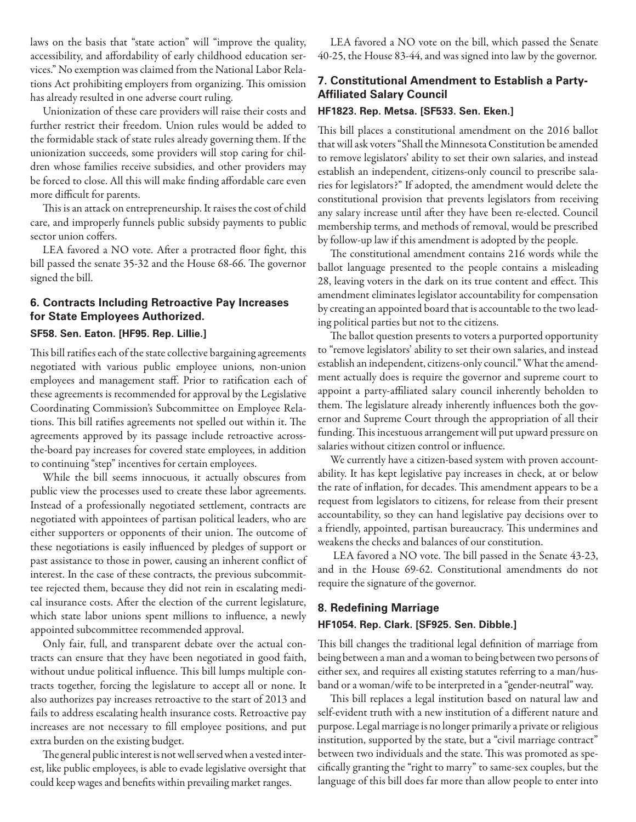laws on the basis that "state action" will "improve the quality, accessibility, and affordability of early childhood education services." No exemption was claimed from the National Labor Relations Act prohibiting employers from organizing. This omission has already resulted in one adverse court ruling.

Unionization of these care providers will raise their costs and further restrict their freedom. Union rules would be added to the formidable stack of state rules already governing them. If the unionization succeeds, some providers will stop caring for children whose families receive subsidies, and other providers may be forced to close. All this will make finding affordable care even more difficult for parents.

This is an attack on entrepreneurship. It raises the cost of child care, and improperly funnels public subsidy payments to public sector union coffers.

LEA favored a NO vote. After a protracted floor fight, this bill passed the senate 35-32 and the House 68-66. The governor signed the bill.

# **6. Contracts Including Retroactive Pay Increases for State Employees Authorized.**

### **SF58. Sen. Eaton. [HF95. Rep. Lillie.]**

This bill ratifies each of the state collective bargaining agreements negotiated with various public employee unions, non-union employees and management staff. Prior to ratification each of these agreements is recommended for approval by the Legislative Coordinating Commission's Subcommittee on Employee Relations. This bill ratifies agreements not spelled out within it. The agreements approved by its passage include retroactive acrossthe-board pay increases for covered state employees, in addition to continuing "step" incentives for certain employees.

While the bill seems innocuous, it actually obscures from public view the processes used to create these labor agreements. Instead of a professionally negotiated settlement, contracts are negotiated with appointees of partisan political leaders, who are either supporters or opponents of their union. The outcome of these negotiations is easily influenced by pledges of support or past assistance to those in power, causing an inherent conflict of interest. In the case of these contracts, the previous subcommittee rejected them, because they did not rein in escalating medical insurance costs. After the election of the current legislature, which state labor unions spent millions to influence, a newly appointed subcommittee recommended approval.

Only fair, full, and transparent debate over the actual contracts can ensure that they have been negotiated in good faith, without undue political influence. This bill lumps multiple contracts together, forcing the legislature to accept all or none. It also authorizes pay increases retroactive to the start of 2013 and fails to address escalating health insurance costs. Retroactive pay increases are not necessary to fill employee positions, and put extra burden on the existing budget.

The general public interest is not well served when a vested interest, like public employees, is able to evade legislative oversight that could keep wages and benefits within prevailing market ranges.

LEA favored a NO vote on the bill, which passed the Senate 40-25, the House 83-44, and was signed into law by the governor.

### **7. Constitutional Amendment to Establish a Party-Affiliated Salary Council**

#### **HF1823. Rep. Metsa. [SF533. Sen. Eken.]**

This bill places a constitutional amendment on the 2016 ballot that will ask voters "Shall the Minnesota Constitution be amended to remove legislators' ability to set their own salaries, and instead establish an independent, citizens-only council to prescribe salaries for legislators?" If adopted, the amendment would delete the constitutional provision that prevents legislators from receiving any salary increase until after they have been re-elected. Council membership terms, and methods of removal, would be prescribed by follow-up law if this amendment is adopted by the people.

The constitutional amendment contains 216 words while the ballot language presented to the people contains a misleading 28, leaving voters in the dark on its true content and effect. This amendment eliminates legislator accountability for compensation by creating an appointed board that is accountable to the two leading political parties but not to the citizens.

The ballot question presents to voters a purported opportunity to "remove legislators' ability to set their own salaries, and instead establish an independent, citizens-only council." What the amendment actually does is require the governor and supreme court to appoint a party-affiliated salary council inherently beholden to them. The legislature already inherently influences both the governor and Supreme Court through the appropriation of all their funding. This incestuous arrangement will put upward pressure on salaries without citizen control or influence.

We currently have a citizen-based system with proven accountability. It has kept legislative pay increases in check, at or below the rate of inflation, for decades. This amendment appears to be a request from legislators to citizens, for release from their present accountability, so they can hand legislative pay decisions over to a friendly, appointed, partisan bureaucracy. This undermines and weakens the checks and balances of our constitution.

 LEA favored a NO vote. The bill passed in the Senate 43-23, and in the House 69-62. Constitutional amendments do not require the signature of the governor.

# **8. Redefining Marriage HF1054. Rep. Clark. [SF925. Sen. Dibble.]**

This bill changes the traditional legal definition of marriage from being between a man and a woman to being between two persons of either sex, and requires all existing statutes referring to a man/husband or a woman/wife to be interpreted in a "gender-neutral" way.

This bill replaces a legal institution based on natural law and self-evident truth with a new institution of a different nature and purpose. Legal marriage is no longer primarily a private or religious institution, supported by the state, but a "civil marriage contract" between two individuals and the state. This was promoted as specifically granting the "right to marry" to same-sex couples, but the language of this bill does far more than allow people to enter into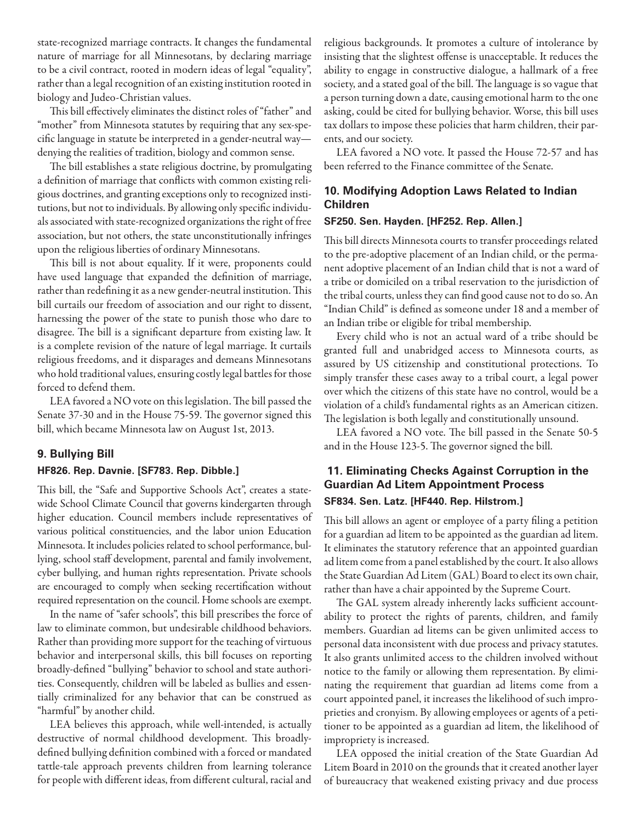state-recognized marriage contracts. It changes the fundamental nature of marriage for all Minnesotans, by declaring marriage to be a civil contract, rooted in modern ideas of legal "equality", rather than a legal recognition of an existing institution rooted in biology and Judeo-Christian values.

This bill effectively eliminates the distinct roles of "father" and "mother" from Minnesota statutes by requiring that any sex-specific language in statute be interpreted in a gender-neutral way denying the realities of tradition, biology and common sense.

The bill establishes a state religious doctrine, by promulgating a definition of marriage that conflicts with common existing religious doctrines, and granting exceptions only to recognized institutions, but not to individuals. By allowing only specific individuals associated with state-recognized organizations the right of free association, but not others, the state unconstitutionally infringes upon the religious liberties of ordinary Minnesotans.

This bill is not about equality. If it were, proponents could have used language that expanded the definition of marriage, rather than redefining it as a new gender-neutral institution. This bill curtails our freedom of association and our right to dissent, harnessing the power of the state to punish those who dare to disagree. The bill is a significant departure from existing law. It is a complete revision of the nature of legal marriage. It curtails religious freedoms, and it disparages and demeans Minnesotans who hold traditional values, ensuring costly legal battles for those forced to defend them.

LEA favored a NO vote on this legislation. The bill passed the Senate 37-30 and in the House 75-59. The governor signed this bill, which became Minnesota law on August 1st, 2013.

### **9. Bullying Bill**

### **HF826. Rep. Davnie. [SF783. Rep. Dibble.]**

This bill, the "Safe and Supportive Schools Act", creates a statewide School Climate Council that governs kindergarten through higher education. Council members include representatives of various political constituencies, and the labor union Education Minnesota. It includes policies related to school performance, bullying, school staff development, parental and family involvement, cyber bullying, and human rights representation. Private schools are encouraged to comply when seeking recertification without required representation on the council. Home schools are exempt.

In the name of "safer schools", this bill prescribes the force of law to eliminate common, but undesirable childhood behaviors. Rather than providing more support for the teaching of virtuous behavior and interpersonal skills, this bill focuses on reporting broadly-defined "bullying" behavior to school and state authorities. Consequently, children will be labeled as bullies and essentially criminalized for any behavior that can be construed as "harmful" by another child.

LEA believes this approach, while well-intended, is actually destructive of normal childhood development. This broadlydefined bullying definition combined with a forced or mandated tattle-tale approach prevents children from learning tolerance for people with different ideas, from different cultural, racial and religious backgrounds. It promotes a culture of intolerance by insisting that the slightest offense is unacceptable. It reduces the ability to engage in constructive dialogue, a hallmark of a free society, and a stated goal of the bill. The language is so vague that a person turning down a date, causing emotional harm to the one asking, could be cited for bullying behavior. Worse, this bill uses tax dollars to impose these policies that harm children, their parents, and our society.

LEA favored a NO vote. It passed the House 72-57 and has been referred to the Finance committee of the Senate.

# **10. Modifying Adoption Laws Related to Indian Children**

### **SF250. Sen. Hayden. [HF252. Rep. Allen.]**

This bill directs Minnesota courts to transfer proceedings related to the pre-adoptive placement of an Indian child, or the permanent adoptive placement of an Indian child that is not a ward of a tribe or domiciled on a tribal reservation to the jurisdiction of the tribal courts, unless they can find good cause not to do so. An "Indian Child" is defined as someone under 18 and a member of an Indian tribe or eligible for tribal membership.

Every child who is not an actual ward of a tribe should be granted full and unabridged access to Minnesota courts, as assured by US citizenship and constitutional protections. To simply transfer these cases away to a tribal court, a legal power over which the citizens of this state have no control, would be a violation of a child's fundamental rights as an American citizen. The legislation is both legally and constitutionally unsound.

LEA favored a NO vote. The bill passed in the Senate 50-5 and in the House 123-5. The governor signed the bill.

### **11. Eliminating Checks Against Corruption in the Guardian Ad Litem Appointment Process SF834. Sen. Latz. [HF440. Rep. Hilstrom.]**

This bill allows an agent or employee of a party filing a petition for a guardian ad litem to be appointed as the guardian ad litem. It eliminates the statutory reference that an appointed guardian ad litem come from a panel established by the court. It also allows the State Guardian Ad Litem (GAL) Board to elect its own chair, rather than have a chair appointed by the Supreme Court.

The GAL system already inherently lacks sufficient accountability to protect the rights of parents, children, and family members. Guardian ad litems can be given unlimited access to personal data inconsistent with due process and privacy statutes. It also grants unlimited access to the children involved without notice to the family or allowing them representation. By eliminating the requirement that guardian ad litems come from a court appointed panel, it increases the likelihood of such improprieties and cronyism. By allowing employees or agents of a petitioner to be appointed as a guardian ad litem, the likelihood of impropriety is increased.

LEA opposed the initial creation of the State Guardian Ad Litem Board in 2010 on the grounds that it created another layer of bureaucracy that weakened existing privacy and due process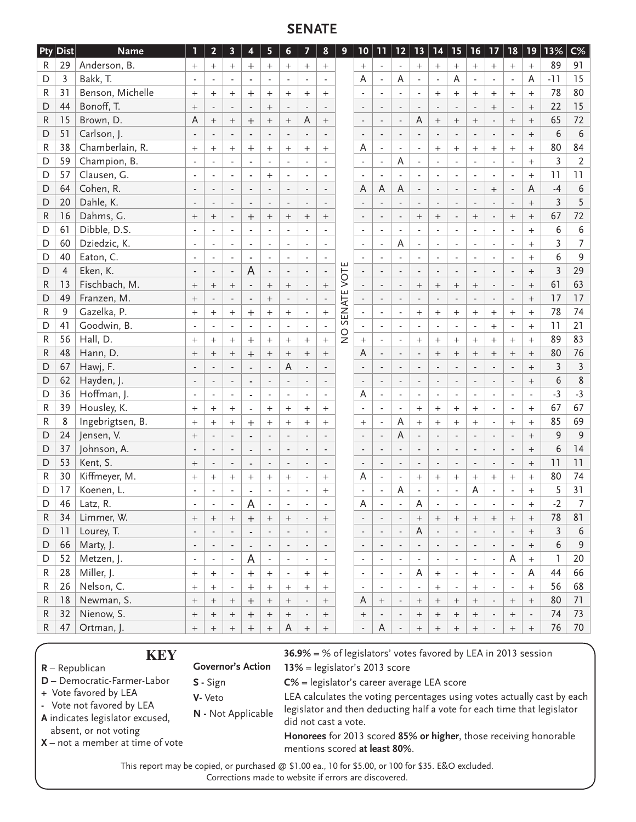# **SENATE**

| <b>Pty</b> | Dist           | <b>Name</b>                                                                                         | 1                        | $\overline{2}$                   | $\overline{\mathbf{3}}$  | $\overline{\mathbf{4}}$                               | 5                        | 6                                                                                                  | 7                                | 8                        | 9                             | 10                       | 11                       |                          | 12 13                            | 14                                         | 15                               | 16                                                                      | 17 <sub>2</sub>                                                    | 18                       | 19                       | 13%            | $C\%$            |
|------------|----------------|-----------------------------------------------------------------------------------------------------|--------------------------|----------------------------------|--------------------------|-------------------------------------------------------|--------------------------|----------------------------------------------------------------------------------------------------|----------------------------------|--------------------------|-------------------------------|--------------------------|--------------------------|--------------------------|----------------------------------|--------------------------------------------|----------------------------------|-------------------------------------------------------------------------|--------------------------------------------------------------------|--------------------------|--------------------------|----------------|------------------|
| R          | 29             | Anderson, B.                                                                                        | $^{+}$                   | $^{+}$                           | $^{+}$                   | $\overline{+}$                                        | $^{+}$                   | $^{+}$                                                                                             | $^{+}$                           | $^{+}$                   |                               | $\! + \!$                |                          |                          | $^{+}$                           | $\! + \!$                                  | $^{+}$                           | $^{+}$                                                                  | $^{+}$                                                             | $^{+}$                   |                          | 89             | 91               |
| D          | 3              | Bakk, T.                                                                                            |                          |                                  |                          |                                                       |                          |                                                                                                    |                                  | ÷,                       |                               | Α                        |                          | A                        |                                  | $\blacksquare$                             | Α                                |                                                                         | ÷,                                                                 | $\blacksquare$           | A                        | $-11$          | 15               |
| R          | 31             | Benson, Michelle                                                                                    | $^{+}$                   | $^{+}$                           | $^{+}$                   | $^{+}$                                                | $^{+}$                   | $^{+}$                                                                                             | $^+$                             | $^{+}$                   |                               |                          |                          | $\blacksquare$           |                                  | $^{+}$                                     | $^{+}$                           | $^{+}$                                                                  | $^{+}$                                                             | $\ddot{}$                | $^{+}$                   | 78             | 80               |
| D          | 44             | Bonoff, T.                                                                                          | $^{+}$                   |                                  |                          |                                                       | $^{+}$                   |                                                                                                    |                                  |                          |                               | $\overline{\phantom{a}}$ |                          |                          |                                  | $\blacksquare$                             |                                  |                                                                         | $^{+}$                                                             | $\Box$                   | $^{+}$                   | 22             | 15               |
| R          | 15             | Brown, D.                                                                                           | A                        | $^{+}$                           | $\boldsymbol{+}$         | $^{+}$                                                | $^{+}$                   | $\qquad \qquad +$                                                                                  | A                                | $\ddot{}$                |                               | $\overline{\phantom{a}}$ | $\blacksquare$           | $\Box$                   | A                                | $\! + \!$                                  | $^{+}$                           | $\ddot{}$                                                               |                                                                    | $^{+}$                   | $\ddot{}$                | 65             | 72               |
| D          | 51             | Carlson, J.                                                                                         |                          | $\overline{a}$                   |                          | $\overline{a}$                                        |                          |                                                                                                    |                                  |                          |                               | $\overline{\phantom{a}}$ |                          |                          |                                  | $\overline{a}$                             |                                  | $\overline{a}$                                                          |                                                                    | $\Box$                   | $^{+}$                   | 6              | 6                |
| R          | 38             | Chamberlain, R.                                                                                     |                          | $+$                              | $^{+}$                   | $\overline{+}$                                        | $^{+}$                   | $+$                                                                                                | $^{+}$                           | $^{+}$                   |                               | Α                        | $\overline{a}$           | $\overline{\phantom{a}}$ | $\overline{a}$                   | $^{+}$                                     | $^{+}$                           | $^{+}$                                                                  | $^{+}$                                                             | $+$                      | $\ddot{}$                | 80             | 84               |
| D          | 59             | Champion, B.                                                                                        |                          | $\overline{a}$                   |                          | ÷,                                                    |                          | $\overline{a}$                                                                                     |                                  | $\overline{a}$           |                               | $\overline{a}$           | $\overline{a}$           | A                        |                                  | $\overline{\phantom{a}}$                   |                                  | $\overline{a}$                                                          |                                                                    | $\Box$                   | $\ddot{}$                | $\overline{3}$ | $\overline{2}$   |
| D          | 57             | Clausen, G.                                                                                         |                          | $\overline{\phantom{a}}$         | $\overline{a}$           | $\qquad \qquad \blacksquare$                          |                          | $\overline{\phantom{a}}$                                                                           | $\overline{\phantom{a}}$         |                          |                               | $\overline{\phantom{a}}$ |                          |                          |                                  | $\overline{\phantom{a}}$                   | $\overline{a}$                   | $\overline{\phantom{a}}$                                                |                                                                    | $\Box$                   | $^{+}$                   | 11             | 11               |
| D          | 64             | Cohen, R.                                                                                           |                          | $\overline{a}$                   | $\overline{\phantom{a}}$ | $\centerdot$                                          | $\overline{\phantom{a}}$ | $\blacksquare$                                                                                     | $\overline{\phantom{a}}$         | $\overline{\phantom{a}}$ |                               | A                        | A                        | $\overline{A}$           | $\blacksquare$                   | $\blacksquare$                             | $\overline{\phantom{a}}$         | $\blacksquare$                                                          | $+$                                                                | $\overline{\phantom{a}}$ | A                        | $-4$           | $\boldsymbol{6}$ |
| D          | 20             | Dahle, K.                                                                                           |                          | $\overline{a}$                   |                          | ÷,                                                    |                          | $\blacksquare$                                                                                     |                                  |                          |                               |                          |                          |                          |                                  | $\overline{a}$                             |                                  | $\overline{a}$                                                          |                                                                    | $\overline{\phantom{a}}$ | $^{+}$                   | $\overline{3}$ | 5                |
| R          | 16             | Dahms, G.                                                                                           | $\qquad \qquad +$        | $^{+}$                           | $\overline{\phantom{a}}$ | $\ddot{}$                                             | $^{+}$                   | $^{+}$                                                                                             | $\! +$                           | $+$                      |                               | $\blacksquare$           | $\overline{a}$           | $\overline{\phantom{a}}$ | $\! +$                           | $+$                                        | $\overline{\phantom{a}}$         | $+$                                                                     | $\overline{\phantom{a}}$                                           | $\ddot{}$                | $^{+}$                   | 67             | 72               |
| D          | 61             | Dibble, D.S.                                                                                        |                          | $\overline{a}$                   |                          |                                                       |                          |                                                                                                    |                                  |                          |                               |                          |                          | $\overline{a}$           |                                  | $\overline{a}$                             |                                  |                                                                         |                                                                    | $\overline{a}$           | $^{+}$                   | 6              | 6                |
| D          | 60             | Dziedzic, K.                                                                                        |                          | $\overline{\phantom{a}}$         | $\overline{a}$           | $\qquad \qquad \blacksquare$                          |                          | $\overline{\phantom{a}}$                                                                           |                                  |                          |                               | $\overline{\phantom{a}}$ | $\overline{\phantom{a}}$ | A                        |                                  | $\overline{\phantom{a}}$                   |                                  | $\overline{\phantom{a}}$                                                |                                                                    | $\blacksquare$           | $^{+}$                   | 3              | 7                |
| D          | 40             | Eaton, C.                                                                                           | ÷,                       | $\overline{a}$                   | $\overline{a}$           | $\frac{1}{2}$                                         | $\blacksquare$           | $\overline{\phantom{a}}$                                                                           | $\overline{a}$                   | $\overline{a}$           |                               | $\blacksquare$           |                          | $\overline{a}$           | $\blacksquare$                   | $\overline{\phantom{a}}$                   | ÷,                               | $\overline{\phantom{a}}$                                                | $\overline{a}$                                                     | $\Box$                   | $\ddot{}$                | 6              | 9                |
| D          | $\overline{4}$ | Eken, K.                                                                                            |                          | $\overline{a}$                   |                          | A                                                     |                          | $\blacksquare$                                                                                     |                                  | $\overline{\phantom{a}}$ |                               |                          |                          | $\overline{a}$           |                                  | $\blacksquare$                             |                                  | $\blacksquare$                                                          |                                                                    | $\blacksquare$           |                          | $\overline{3}$ | 29               |
|            | 13             | Fischbach, M.                                                                                       |                          |                                  | $\overline{\phantom{a}}$ |                                                       | $\overline{\phantom{a}}$ |                                                                                                    |                                  | $\ddot{}$                | VOTE                          |                          |                          |                          |                                  |                                            |                                  |                                                                         |                                                                    |                          | $^{+}$                   | 61             | 63               |
| R          |                |                                                                                                     | $\! +$                   | $^{+}$                           | $^{+}$                   | $\blacksquare$                                        | $^{+}$                   | $^{+}$                                                                                             | $\overline{\phantom{a}}$         |                          |                               |                          |                          | $\overline{\phantom{a}}$ | $\! +$                           | $\boldsymbol{+}$                           | $^{+}$                           | $\ddot{}$                                                               | $\overline{\phantom{a}}$                                           | $\overline{\phantom{a}}$ |                          | 17             | 17               |
| D          | 49             | Franzen, M.                                                                                         | $^{+}$                   |                                  |                          | $\overline{a}$                                        | $^{+}$                   | $\overline{\phantom{a}}$                                                                           |                                  |                          | SENATE                        |                          |                          |                          |                                  | $\overline{\phantom{a}}$                   |                                  |                                                                         |                                                                    | ÷,                       | $^{+}$                   |                |                  |
| R          | 9              | Gazelka, P.                                                                                         | $^{+}$                   | $^{+}$                           | $\! +$                   | $^{+}$                                                | $^{+}$                   | $\qquad \qquad +$                                                                                  |                                  | $\ddot{}$                |                               |                          |                          | ÷,                       | $\begin{array}{c} + \end{array}$ | $^{+}$                                     | $^{+}$                           | $^{+}$                                                                  | $^{+}$                                                             | $^{+}$                   | $\qquad \qquad +$        | 78             | 74               |
| D          | 41             | Goodwin, B.                                                                                         |                          | $\overline{a}$                   |                          | ä,                                                    |                          | $\overline{\phantom{a}}$                                                                           | $\overline{\phantom{a}}$         | $\overline{\phantom{a}}$ | $\frac{0}{2}$                 | $\blacksquare$           |                          | $\blacksquare$           | $\overline{a}$                   | $\overline{\phantom{a}}$                   | ÷,                               | $\blacksquare$                                                          | $^{+}$                                                             | $\blacksquare$           | $\ddot{}$                | 11             | 21               |
| R          | 56             | Hall, D.                                                                                            | $^{+}$                   | $^{+}$                           | $\! +$                   | $^{+}$                                                | $^{+}$                   | $\begin{array}{c} + \end{array}$                                                                   | $^{+}$                           | $\ddot{}$                |                               | $\qquad \qquad +$        |                          | $\blacksquare$           | $^{+}$                           | $\! +$                                     | $\begin{array}{c} + \end{array}$ | $^{+}$                                                                  | $^{+}$                                                             | $^{+}$                   | $\ddot{}$                | 89             | 83               |
| R          | 48             | Hann, D.                                                                                            | $\! +$                   | $\! +$                           | $\! +$                   | $\ddot{}$                                             | $^{+}$                   | $\qquad \qquad +$                                                                                  | $\! +$                           | $+$                      |                               | A                        |                          | $\overline{\phantom{a}}$ | $\blacksquare$                   | $^{+}$                                     | $^{+}$                           | $+$                                                                     | $\! +$                                                             | $\ddot{}$                | $^{+}$                   | 80             | 76               |
| D          | 67             | Hawj, F.                                                                                            |                          |                                  |                          |                                                       |                          | A                                                                                                  |                                  |                          |                               |                          |                          |                          |                                  |                                            |                                  |                                                                         |                                                                    |                          | $^{+}$                   | 3              | $\overline{3}$   |
| D          | 62             | Hayden, J.                                                                                          |                          | $\overline{\phantom{a}}$         | $\overline{\phantom{a}}$ | $\centerdot$                                          | $\overline{\phantom{a}}$ | $\overline{\phantom{a}}$                                                                           |                                  | $\overline{\phantom{a}}$ |                               | $\overline{\phantom{a}}$ |                          | $\overline{\phantom{a}}$ |                                  | $\overline{\phantom{a}}$                   |                                  | $\overline{\phantom{a}}$                                                |                                                                    | $\overline{\phantom{a}}$ | $^{+}$                   | 6              | $\,8\,$          |
| D          | 36             | Hoffman, J.                                                                                         | $\overline{\phantom{a}}$ | ÷,                               |                          | $\blacksquare$                                        | $\overline{a}$           | $\blacksquare$                                                                                     |                                  | $\overline{\phantom{a}}$ |                               | A                        |                          | $\overline{a}$           | ÷,                               | $\blacksquare$                             | ÷,                               | $\blacksquare$                                                          | $\overline{a}$                                                     | $\blacksquare$           | $\overline{\phantom{a}}$ | $-3$           | $-3$             |
| R          | 39             | Housley, K.                                                                                         | $^{+}$                   | $^{+}$                           | $\! +$                   | $\blacksquare$                                        | $^{+}$                   | $\begin{array}{c} + \end{array}$                                                                   | $^{+}$                           | $+$                      |                               |                          |                          | $\overline{a}$           | $^{+}$                           | $\! + \!$                                  | $\begin{array}{c} + \end{array}$ | $^{+}$                                                                  |                                                                    | $\Box$                   | $\ddot{}$                | 67             | 67               |
| R          | 8              | Ingebrigtsen, B.                                                                                    | $^{+}$                   | $\begin{array}{c} + \end{array}$ | $\! +$                   | $\overline{+}$                                        | $^{+}$                   | $\begin{array}{c} + \end{array}$                                                                   | $\begin{array}{c} + \end{array}$ | $^{+}$                   |                               | $^{+}$                   |                          | A                        | $^{+}$                           | $^{+}$                                     | $^{+}$                           | $+$                                                                     | $\overline{a}$                                                     | $^{+}$                   | $^{+}$                   | 85             | 69               |
| D          | 24             | Jensen, V.                                                                                          | $^{+}$                   |                                  |                          | $\overline{a}$                                        |                          | $\overline{\phantom{a}}$                                                                           |                                  |                          |                               | $\overline{a}$           |                          | A                        |                                  | $\overline{\phantom{a}}$                   |                                  |                                                                         |                                                                    | L,                       | $^{+}$                   | 9              | $\overline{9}$   |
| D          | 37             | Johnson, A.                                                                                         |                          | $\overline{\phantom{a}}$         | $\overline{\phantom{a}}$ | $\centerdot$                                          | $\overline{a}$           | $\overline{\phantom{a}}$                                                                           | $\overline{\phantom{a}}$         | $\overline{\phantom{a}}$ |                               | $\overline{\phantom{a}}$ |                          | $\overline{a}$           |                                  | $\blacksquare$                             | $\overline{a}$                   | $\overline{\phantom{a}}$                                                | $\overline{\phantom{a}}$                                           | $\Box$                   | $\ddot{}$                | 6              | 14               |
| D          | 53             | Kent, S.                                                                                            | $^{+}$                   | $\blacksquare$                   | $\overline{a}$           | $\overline{\phantom{a}}$                              |                          | $\overline{\phantom{a}}$                                                                           | $\blacksquare$                   | $\blacksquare$           |                               | $\overline{\phantom{a}}$ |                          | $\blacksquare$           | $\blacksquare$                   | $\overline{\phantom{a}}$                   | $\overline{a}$                   | $\overline{\phantom{a}}$                                                | $\overline{\phantom{a}}$                                           | $\blacksquare$           |                          | 11             | 11               |
| R          | 30             | Kiffmeyer, M.                                                                                       | $^{+}$                   | $^{+}$                           | $\! +$                   | $^{+}$                                                | $^{+}$                   | $\begin{array}{c} + \end{array}$                                                                   | $\overline{\phantom{a}}$         | $^{+}$                   |                               | A                        |                          | $\blacksquare$           | $^{+}$                           | $\! + \!$                                  | $\begin{array}{c} + \end{array}$ | $\! + \!\!\!\!$                                                         | $^{+}$                                                             | $^{+}$                   | $^{+}$                   | 80             | 74               |
| D          | 17             | Koenen, L.                                                                                          |                          | $\overline{a}$                   | $\overline{a}$           | $\blacksquare$                                        |                          | $\overline{\phantom{a}}$                                                                           | $\overline{a}$                   | $^{+}$                   |                               | $\overline{\phantom{a}}$ |                          | А                        | $\overline{\phantom{a}}$         | $\blacksquare$                             | $\overline{a}$                   | Α                                                                       | $\overline{\phantom{a}}$                                           | $\blacksquare$           | $^{+}$                   | 5              | 31               |
| D          | 46             | Latz, R.                                                                                            |                          |                                  |                          | A                                                     |                          |                                                                                                    |                                  |                          |                               | Α                        |                          |                          | Α                                |                                            |                                  |                                                                         |                                                                    |                          | $^{+}$                   | $-2$           | $\overline{7}$   |
| R          | 34             | Limmer, W.                                                                                          | $^{+}$                   | $^{+}$                           | $^{+}$                   | $^{+}$                                                | $^{+}$                   | $^{+}$                                                                                             |                                  | $^{+}$                   |                               | $\overline{\phantom{a}}$ |                          |                          | $^{+}$                           | $^{+}$                                     | $^{+}$                           | $^{+}$                                                                  | $^{+}$                                                             | $\! +$                   | $^{+}$                   | 78             | 81               |
| D          | 11             | Lourey, T.                                                                                          |                          | $\overline{a}$                   | $\overline{\phantom{a}}$ | ÷,                                                    |                          | $\overline{\phantom{a}}$                                                                           | ÷,                               | $\blacksquare$           |                               | $\overline{\phantom{a}}$ | $\overline{\phantom{a}}$ | $\overline{\phantom{a}}$ | A                                | $\overline{\phantom{a}}$                   | ÷,                               | $\overline{\phantom{a}}$                                                | ÷,                                                                 | $\overline{\phantom{a}}$ | $^{+}$                   | 3              | 6                |
| D          | 66             | Marty, J.                                                                                           | $\overline{\phantom{m}}$ | $\overline{\phantom{a}}$         | $\overline{\phantom{a}}$ | $\centerdot$                                          | $\overline{\phantom{a}}$ | $\overline{\phantom{a}}$                                                                           | $\overline{\phantom{a}}$         | $\blacksquare$           |                               | $\overline{\phantom{a}}$ | $\overline{\phantom{a}}$ | $\overline{\phantom{a}}$ | $\overline{a}$                   | $\overline{\phantom{a}}$                   | $\overline{\phantom{a}}$         | $\overline{\phantom{a}}$                                                | $\overline{\phantom{a}}$                                           | $\overline{\phantom{a}}$ | $^{+}$                   | 6              | 9                |
| D          | 52             | Metzen, J.                                                                                          | $\overline{a}$           | $\overline{\phantom{a}}$         | $\overline{\phantom{a}}$ | A                                                     | $\overline{\phantom{a}}$ | $\overline{\phantom{a}}$                                                                           | $\overline{\phantom{a}}$         | $\overline{\phantom{a}}$ |                               | $\overline{\phantom{a}}$ | $\overline{\phantom{a}}$ | $\overline{\phantom{a}}$ | $\overline{\phantom{a}}$         | $\blacksquare$                             | $\overline{\phantom{a}}$         | $\blacksquare$                                                          | $\overline{\phantom{a}}$                                           | A                        | $^{+}$                   | ı              | 20               |
| R          | 28             | Miller, J.                                                                                          | $^{+}$                   | $^{+}$                           | ÷,                       | $\ddot{}$                                             | $^{+}$                   | $\overline{\phantom{a}}$                                                                           | $^{+}$                           | $^{+}$                   |                               | $\overline{\phantom{a}}$ | $\overline{\phantom{a}}$ | $\overline{a}$           | A                                | $\! + \!\!\!\!$                            | $\overline{a}$                   | $^{+}$                                                                  | $\overline{a}$                                                     | $\overline{\phantom{a}}$ | A                        | 44             | 66               |
| R          | 26             | Nelson, C.                                                                                          | $^{+}$                   | $^{+}$                           | $\overline{\phantom{a}}$ | $+$                                                   | $^{+}$                   | $^{+}$                                                                                             | $^{+}$                           | $^{+}$                   |                               | $\overline{\phantom{a}}$ | $\overline{\phantom{a}}$ | $\blacksquare$           | $\overline{a}$                   | $^{+}$                                     | $\overline{\phantom{a}}$         | $^{+}$                                                                  | $\overline{\phantom{a}}$                                           | $\blacksquare$           | $^{+}$                   | 56             | 68               |
| R          | 18             | Newman, S.                                                                                          | $\! +$                   | $\! +$                           | $\! +$                   | $\ddot{}$                                             | $\! +$                   | $\! +$                                                                                             | ÷,                               | $+$                      |                               | A                        | $^{+}$                   | $\overline{\phantom{a}}$ | $\! +$                           | $\! + \!\!\!\!$                            | $\! + \!\!\!\!$                  | $+$                                                                     | L,                                                                 | $^{+}$                   |                          | 80             | 71               |
| R          | 32             | Nienow, S.                                                                                          | $^{+}$                   | $^{+}$                           | $^{+}$                   | $\pm$                                                 | $^{+}$                   | $^{+}$                                                                                             | $\overline{\phantom{a}}$         | $^{+}$                   |                               | $\! + \!\!\!\!$          | $\overline{a}$           | $\overline{a}$           | $^{+}$                           | $^{+}$                                     | $^{+}$                           | $\! + \!\!\!\!$                                                         | $\overline{\phantom{m}}$                                           | $^{+}$                   | $\overline{\phantom{a}}$ | 74             | 73               |
| R          | 47             | Ortman, J.                                                                                          | $\! +$                   | $\! +$                           | $\! + \!\!\!\!$          | $\ddot{}$                                             | $\! +$                   | A                                                                                                  | $\! + \!\!\!\!$                  | $^{+}$                   |                               | $\overline{\phantom{a}}$ | A                        | $\overline{\phantom{a}}$ | $^{+}$                           | $\boldsymbol{+}$                           | $^{+}$                           | $^{+}$                                                                  |                                                                    | $^{+}$                   | $^{+}$                   | 76             | 70               |
|            |                |                                                                                                     |                          |                                  |                          |                                                       |                          |                                                                                                    |                                  |                          |                               |                          |                          |                          |                                  |                                            |                                  |                                                                         |                                                                    |                          |                          |                |                  |
|            |                | <b>KEY</b>                                                                                          |                          |                                  |                          |                                                       |                          |                                                                                                    |                                  |                          |                               |                          |                          |                          |                                  |                                            |                                  |                                                                         | $36.9\% = \%$ of legislators' votes favored by LEA in 2013 session |                          |                          |                |                  |
|            |                | $R - Republican$                                                                                    |                          |                                  |                          | <b>Governor's Action</b>                              |                          |                                                                                                    |                                  |                          | 13% = legislator's 2013 score |                          |                          |                          |                                  |                                            |                                  |                                                                         |                                                                    |                          |                          |                |                  |
|            |                | D - Democratic-Farmer-Labor                                                                         |                          | S - Sign                         |                          |                                                       |                          |                                                                                                    |                                  |                          |                               |                          |                          |                          |                                  | C% = legislator's career average LEA score |                                  |                                                                         |                                                                    |                          |                          |                |                  |
|            |                | + Vote favored by LEA                                                                               |                          |                                  |                          |                                                       |                          |                                                                                                    |                                  |                          |                               |                          |                          |                          |                                  |                                            |                                  | LEA calculates the voting percentages using votes actually cast by each |                                                                    |                          |                          |                |                  |
|            |                | - Vote not favored by LEA                                                                           |                          |                                  |                          |                                                       |                          |                                                                                                    |                                  |                          |                               |                          |                          |                          |                                  |                                            |                                  | legislator and then deducting half a vote for each time that legislator |                                                                    |                          |                          |                |                  |
|            |                | A indicates legislator excused,                                                                     |                          |                                  |                          | N - Not Applicable                                    |                          |                                                                                                    |                                  |                          | did not cast a vote.          |                          |                          |                          |                                  |                                            |                                  |                                                                         |                                                                    |                          |                          |                |                  |
|            |                | absent, or not voting                                                                               |                          |                                  |                          |                                                       |                          |                                                                                                    |                                  |                          |                               |                          |                          |                          |                                  |                                            |                                  |                                                                         |                                                                    |                          |                          |                |                  |
|            |                | $X$ – not a member at time of vote                                                                  |                          |                                  |                          |                                                       |                          | Honorees for 2013 scored 85% or higher, those receiving honorable<br>mentions scored at least 80%. |                                  |                          |                               |                          |                          |                          |                                  |                                            |                                  |                                                                         |                                                                    |                          |                          |                |                  |
|            |                |                                                                                                     |                          |                                  |                          |                                                       |                          |                                                                                                    |                                  |                          |                               |                          |                          |                          |                                  |                                            |                                  |                                                                         |                                                                    |                          |                          |                |                  |
|            |                | This report may be copied, or purchased @ \$1.00 ea., 10 for \$5.00, or 100 for \$35. E&O excluded. |                          |                                  |                          | Corrections made to website if errors are discovered. |                          |                                                                                                    |                                  |                          |                               |                          |                          |                          |                                  |                                            |                                  |                                                                         |                                                                    |                          |                          |                |                  |

- **R** Republican **D** – Democratic-Farmer-Labor
- **+** Vote favored by LEA
- Vote not favored by LEA
- **A** indicates legislator excused, absent, or not voting
- **X** not a member at time of vote

- **S** Sign
- **V-** Veto

This report may be copied, or purchased @ \$1.00 ea., 10 for \$5.00, or 100 for \$35. E&O excluded.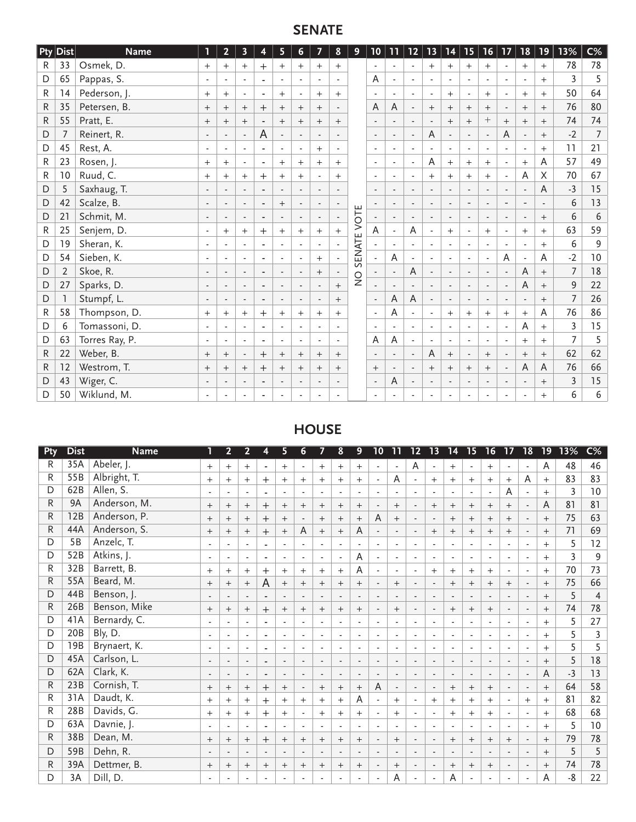# **SENATE**

|             | $ P$ ty $ $ Dist $ $ | <b>Name</b>    | 1                        | $\overline{2}$ | $\overline{\mathbf{3}}$  | 4                        | 5                        | 6                        | 7                        | 8                        | 9             | 10                       | 11                       | $12$                     | 13                       | 14                       | 15                       | 16                       | 17                       | 18                       | 19                | 13%            | $C\%$          |
|-------------|----------------------|----------------|--------------------------|----------------|--------------------------|--------------------------|--------------------------|--------------------------|--------------------------|--------------------------|---------------|--------------------------|--------------------------|--------------------------|--------------------------|--------------------------|--------------------------|--------------------------|--------------------------|--------------------------|-------------------|----------------|----------------|
| R.          | 33                   | Osmek, D.      | $+$                      | $^{+}$         | $+$                      | $\pm$                    | $^{+}$                   | $^{+}$                   | $+$                      | $+$                      |               | $\sim$                   | $\sim$                   | $\mathbf{r}$             | $^{+}$                   | $^{+}$                   | $+$                      | $^{+}$                   | $\overline{a}$           | $+$                      | $+$               | 78             | 78             |
| D           | 65                   | Pappas, S.     | $\blacksquare$           |                | $\blacksquare$           | ٠                        | $\blacksquare$           |                          | $\blacksquare$           |                          |               | A                        |                          | $\blacksquare$           | $\overline{\phantom{a}}$ | $\blacksquare$           |                          | $\blacksquare$           | $\blacksquare$           | $\blacksquare$           | $+$               | 3              | 5              |
| R           | 14                   | Pederson, J.   | $^{+}$                   | $^{+}$         | $\blacksquare$           | ٠                        | $^{+}$                   |                          | $+$                      | $^{+}$                   |               | $\overline{\phantom{a}}$ |                          | $\blacksquare$           | $\blacksquare$           | $^{+}$                   | $\overline{\phantom{a}}$ | $^{+}$                   |                          | $+$                      | $+$               | 50             | 64             |
| R           | 35                   | Petersen, B.   | $^{+}$                   | $^{+}$         | $^{+}$                   | $^{+}$                   | $^{+}$                   | $^{+}$                   | $^{+}$                   |                          |               | A                        | A                        | $\overline{\phantom{a}}$ | $^{+}$                   | $^{+}$                   | $^{+}$                   | $^{+}$                   |                          | $^{+}$                   | $^{+}$            | 76             | 80             |
| R           | 55                   | Pratt, E.      | $+$                      | $^{+}$         | $^{+}$                   |                          | $+$                      | $^{+}$                   | $+$                      | $+$                      |               | $\sim$                   |                          | $\overline{a}$           |                          | $+$                      | $+$                      | $^{+}$                   | $+$                      | $+$                      | $+$               | 74             | 74             |
| $\mathsf D$ | 7                    | Reinert, R.    | $\overline{\phantom{a}}$ |                | $\blacksquare$           | A                        | $\mathbb{L}$             |                          | $\blacksquare$           |                          |               | $\overline{\phantom{a}}$ |                          | $\blacksquare$           | Α                        | $\blacksquare$           | $\overline{\phantom{a}}$ | $\blacksquare$           | A                        | $\overline{\phantom{a}}$ | $^{+}$            | $-2$           | $\overline{7}$ |
| D           | 45                   | Rest, A.       | $\sim$                   |                | $\overline{a}$           | ٠                        | $\overline{a}$           |                          | $+$                      |                          |               | $\sim$                   |                          | $\overline{a}$           |                          | $\mathbf{r}$             |                          | $\blacksquare$           |                          | $\blacksquare$           | $+$               | 11             | 21             |
| R           | 23                   | Rosen, J.      | $^{+}$                   | $^{+}$         | $\overline{\phantom{a}}$ | ٠                        | $^{+}$                   | $^{+}$                   | $^{+}$                   | $+$                      |               | $\blacksquare$           |                          | $\overline{\phantom{a}}$ | A                        | $^{+}$                   | $^{+}$                   | $^{+}$                   | $\blacksquare$           | $^{+}$                   | A                 | 57             | 49             |
| R           | 10                   | Ruud, C.       | $+$                      | $^{+}$         | $+$                      | $^{+}$                   | $^{+}$                   | $^{+}$                   | $\overline{\phantom{a}}$ | $+$                      |               | $\blacksquare$           | $\blacksquare$           | $\frac{1}{2}$            | $^{+}$                   | $+$                      | $^{+}$                   | $+$                      | $\overline{a}$           | A                        | X                 | 70             | 67             |
| D           | 5                    | Saxhaug, T.    | $\overline{\phantom{a}}$ |                | $\overline{a}$           | ٠                        | $\overline{\phantom{a}}$ |                          | $\blacksquare$           |                          |               | $\overline{\phantom{a}}$ |                          | $\overline{a}$           | $\blacksquare$           | $\overline{\phantom{a}}$ |                          | $\blacksquare$           |                          | $\overline{\phantom{a}}$ | $\overline{A}$    | $-3$           | 15             |
| D           | 42                   | Scalze, B.     |                          |                | $\blacksquare$           | $\blacksquare$           | $^{+}$                   |                          | $\blacksquare$           | $\overline{\phantom{a}}$ |               |                          |                          |                          |                          | $\overline{\phantom{a}}$ |                          |                          |                          | $\overline{\phantom{a}}$ |                   | 6              | 13             |
| D           | 21                   | Schmit, M.     |                          |                | $\overline{\phantom{a}}$ | ٠                        | $\overline{\phantom{a}}$ |                          | $\overline{\phantom{a}}$ | $\overline{a}$           | VOTE          |                          |                          | $\overline{\phantom{a}}$ |                          | $\overline{\phantom{a}}$ |                          | $\overline{a}$           |                          |                          | $+$               | 6              | 6              |
| R           | 25                   | Senjem, D.     | $\overline{\phantom{a}}$ | $^{+}$         | $+$                      | $^+$                     | $+$                      | $^{+}$                   | $+$                      | $+$                      |               | A                        |                          | A                        | $\overline{\phantom{a}}$ | $+$                      | $\overline{\phantom{a}}$ | $+$                      | $\overline{\phantom{a}}$ | $+$                      | $+$               | 63             | 59             |
| D           | 19                   | Sheran, K.     | $\overline{\phantom{a}}$ |                |                          | ٠                        | $\overline{\phantom{a}}$ |                          | $\blacksquare$           | $\blacksquare$           | SENATE        |                          |                          |                          |                          | $\overline{\phantom{a}}$ |                          | $\blacksquare$           |                          | $\overline{\phantom{a}}$ | $^{+}$            | 6              | 9              |
| D           | 54                   | Sieben, K.     | $\blacksquare$           |                | $\blacksquare$           |                          | $\overline{\phantom{a}}$ |                          | $+$                      | $\blacksquare$           |               |                          | A                        | $\blacksquare$           | ٠                        | $\blacksquare$           |                          | $\blacksquare$           | A                        | $\overline{\phantom{a}}$ | A                 | $-2$           | 10             |
| D           | $\overline{2}$       | Skoe, R.       | $\overline{\phantom{a}}$ |                | $\overline{\phantom{a}}$ | $\blacksquare$           | $\overline{\phantom{a}}$ | $\overline{\phantom{a}}$ | $+$                      | $\overline{\phantom{a}}$ | $\frac{0}{2}$ |                          | $\overline{\phantom{a}}$ | A                        | $\overline{\phantom{a}}$ | $\overline{\phantom{a}}$ | $\overline{\phantom{a}}$ | $\blacksquare$           | $\blacksquare$           | A                        | $^{+}$            | $\overline{7}$ | 18             |
| D           | 27                   | Sparks, D.     | $\overline{\phantom{a}}$ |                | $\blacksquare$           | ٠                        | $\overline{\phantom{a}}$ |                          | $\overline{\phantom{a}}$ | $^{+}$                   |               |                          |                          | $\overline{\phantom{a}}$ | $\blacksquare$           | $\overline{\phantom{a}}$ | $\overline{\phantom{a}}$ | $\blacksquare$           | $\overline{\phantom{a}}$ | A                        | $^{+}$            | $\overline{9}$ | 22             |
| D           |                      | Stumpf, L.     |                          |                | $\blacksquare$           | $\overline{\phantom{a}}$ | $\overline{\phantom{a}}$ |                          | $\overline{\phantom{a}}$ | $+$                      |               | $\overline{\phantom{a}}$ | A                        | A                        |                          | $\overline{\phantom{a}}$ |                          | $\overline{\phantom{a}}$ |                          | $\overline{\phantom{a}}$ | $^{+}$            | $\overline{7}$ | 26             |
| R           | 58                   | Thompson, D.   | $^{+}$                   | $^{+}$         | $^{+}$                   | $^{+}$                   | $^{+}$                   | $^{+}$                   | $+$                      | $+$                      |               | $\overline{\phantom{a}}$ | A                        | $\blacksquare$           | ٠                        | $^{+}$                   | $^{+}$                   | $+$                      | $+$                      | $^{+}$                   | A                 | 76             | 86             |
| D           | 6                    | Tomassoni, D.  | $\overline{\phantom{a}}$ |                | $\blacksquare$           | ٠                        | $\overline{\phantom{a}}$ | $\overline{\phantom{a}}$ | $\blacksquare$           | $\blacksquare$           |               | $\blacksquare$           |                          | $\blacksquare$           | $\blacksquare$           | $\blacksquare$           | $\overline{\phantom{a}}$ | $\blacksquare$           | $\overline{\phantom{a}}$ | A                        | $+$               | $\overline{3}$ | 15             |
| D           | 63                   | Torres Ray, P. | $\blacksquare$           |                | $\overline{a}$           | ٠                        | $\overline{\phantom{a}}$ |                          | $\blacksquare$           | $\overline{a}$           |               | A                        | A                        | $\overline{a}$           |                          | $\Box$                   |                          | $\blacksquare$           |                          | $^{+}$                   | $+$               | 7              | 5              |
| R.          | 22                   | Weber, B.      | $^{+}$                   | $^{+}$         | $\overline{\phantom{a}}$ | $^{+}$                   | $^{+}$                   | $^{+}$                   | $+$                      | $+$                      |               | $\blacksquare$           |                          | $\blacksquare$           | A                        | $+$                      | $\overline{\phantom{a}}$ | $+$                      | $\blacksquare$           | $^{+}$                   | $\qquad \qquad +$ | 62             | 62             |
| R.          | 12                   | Westrom, T.    | $+$                      | $^{+}$         | $^{+}$                   | $+$                      | $^{+}$                   | $^{+}$                   | $+$                      | $^{+}$                   |               | $+$                      | $\overline{\phantom{a}}$ | $\blacksquare$           | $^{+}$                   | $+$                      | $^{+}$                   | $+$                      | $\overline{\phantom{a}}$ | $\mathsf A$              | A                 | 76             | 66             |
| D           | 43                   | Wiger, C.      | $\overline{\phantom{a}}$ |                | $\overline{\phantom{a}}$ | $\overline{\phantom{a}}$ | $\overline{\phantom{a}}$ | $\overline{\phantom{a}}$ | $\overline{\phantom{a}}$ | $\blacksquare$           |               | $\overline{\phantom{a}}$ | A                        | $\overline{\phantom{a}}$ | $\overline{\phantom{a}}$ | $\overline{\phantom{a}}$ | $\overline{\phantom{a}}$ | $\overline{\phantom{a}}$ | $\blacksquare$           | $\overline{\phantom{a}}$ | $\qquad \qquad +$ | $\overline{3}$ | 15             |
| D           | 50                   | Wiklund, M.    |                          |                |                          |                          |                          |                          |                          |                          |               |                          |                          |                          |                          |                          |                          |                          |                          |                          | $+$               | 6              | 6              |

# **HOUSE**

| $\varepsilon$ | <b>Dist</b>     | <b>Name</b>  | ٦      | $\overline{2}$           | 2                        | 4                        | 5                        | 6                        | 7                        | 8                        | 9                        | 10                       | 11                       | 12                       | 13                       | 14                       | 15                       | 16                       | 17                       | $\overline{18}$          | $\overline{19}$ | 13%            | $\overline{\mathsf{C}\%}$ |
|---------------|-----------------|--------------|--------|--------------------------|--------------------------|--------------------------|--------------------------|--------------------------|--------------------------|--------------------------|--------------------------|--------------------------|--------------------------|--------------------------|--------------------------|--------------------------|--------------------------|--------------------------|--------------------------|--------------------------|-----------------|----------------|---------------------------|
| R             | 35A             | Abeler, J.   | $+$    | $+$                      | $+$                      | $\blacksquare$           | $+$                      |                          | $^{+}$                   | $+$                      | $+$                      | $\overline{\phantom{a}}$ | $\overline{\phantom{a}}$ | A                        | $\blacksquare$           | $+$                      | $\overline{\phantom{a}}$ | $+$                      | $\blacksquare$           | $\overline{\phantom{a}}$ | A               | 48             | 46                        |
| R             | 55B             | Albright, T. | $+$    | $+$                      | $^{+}$                   | $+$                      | $^{+}$                   | $^{+}$                   | $^{+}$                   | $+$                      | $+$                      | $\overline{\phantom{a}}$ | A                        | ٠                        | $^{+}$                   | $^{+}$                   | $^{+}$                   | $^{+}$                   | $^{+}$                   | A                        | $+$             | 83             | 83                        |
| D             | 62B             | Allen, S.    |        | ٠                        | $\overline{\phantom{a}}$ | ٠                        | $\overline{\phantom{a}}$ | $\sim$                   | $\overline{\phantom{a}}$ | $\overline{\phantom{a}}$ | $\sim$                   | $\overline{\phantom{a}}$ | $\overline{\phantom{a}}$ | $\overline{\phantom{a}}$ | $\sim$                   | $\overline{\phantom{a}}$ | $\sim$                   | $\overline{\phantom{a}}$ | A                        | $\overline{\phantom{a}}$ | $^{+}$          | 3              | 10                        |
| R             | 9A              | Anderson, M. | $^{+}$ | $^{+}$                   | $^{+}$                   | $\mathrm{+}$             | $^{+}$                   | $^{+}$                   | $^{+}$                   | $^{+}$                   | $^{+}$                   | $\overline{\phantom{a}}$ | $^{+}$                   | $\overline{\phantom{a}}$ | $^{+}$                   | $^{+}$                   | $^{+}$                   | $^{+}$                   | $^{+}$                   | $\overline{\phantom{a}}$ | A               | 81             | 81                        |
| R             | 12B             | Anderson, P. | $^{+}$ | $^{+}$                   | $\! +$                   | $^{+}$                   | $^{+}$                   |                          | $+$                      | $^{+}$                   | $^{+}$                   | A                        | $\! + \!\!\!\!$          |                          | $\overline{\phantom{a}}$ | $^{+}$                   | $^{+}$                   | $^{+}$                   | $^{+}$                   |                          | $^{+}$          | 75             | 63                        |
| R             | 44A             | Anderson, S. | $^{+}$ | $^{+}$                   | $^{+}$                   | $^{+}$                   | $^{+}$                   | A                        | $^{+}$                   | $^{+}$                   | A                        |                          | $\overline{\phantom{a}}$ |                          | $^{+}$                   | $^{+}$                   | $^{+}$                   | $^{+}$                   | $^{+}$                   | $\overline{\phantom{a}}$ | $^{+}$          | 71             | 69                        |
| D             | 5 <sub>B</sub>  | Anzelc, T.   |        |                          | ٠                        | ٠                        | $\overline{a}$           |                          |                          |                          | $\overline{\phantom{a}}$ |                          | $\overline{\phantom{a}}$ |                          | $\blacksquare$           |                          | $\blacksquare$           | ٠                        | ٠                        | $\overline{\phantom{a}}$ | $^{+}$          | 5              | 12                        |
| D             | 52B             | Atkins, J.   |        | ٠                        | $\blacksquare$           | ٠                        | $\overline{\phantom{a}}$ |                          | $\overline{\phantom{a}}$ |                          | A                        | $\blacksquare$           | $\overline{\phantom{a}}$ | $\overline{\phantom{a}}$ | $\blacksquare$           | $\overline{\phantom{a}}$ | $\blacksquare$           | $\overline{\phantom{a}}$ | $\overline{\phantom{a}}$ | $\overline{\phantom{a}}$ | $^{+}$          | $\overline{3}$ | 9                         |
| R             | 32B             | Barrett, B.  | $^{+}$ | $+$                      | $+$                      | $^{+}$                   | $+$                      | $+$                      | $+$                      | $^{+}$                   | A                        |                          | $\blacksquare$           |                          | $^{+}$                   | $+$                      | $+$                      | $+$                      | $\overline{\phantom{a}}$ | $\overline{\phantom{a}}$ | $^{+}$          | 70             | 73                        |
| R             | 55A             | Beard, M.    | $^{+}$ | $+$                      | $\! +$                   | A                        | $^{+}$                   | $^{+}$                   | $+$                      | $^{+}$                   | $+$                      | $\overline{\phantom{a}}$ | $+$                      |                          | $\overline{\phantom{a}}$ | $+$                      | $+$                      | $^{+}$                   | $^{+}$                   | $\overline{\phantom{a}}$ | $+$             | 75             | 66                        |
| D             | 44B             | Benson, J.   |        | $\overline{\phantom{a}}$ | $\blacksquare$           | $\blacksquare$           | $\overline{\phantom{a}}$ | $\overline{\phantom{a}}$ | $\overline{\phantom{a}}$ | $\overline{\phantom{a}}$ | $\overline{\phantom{a}}$ | $\overline{\phantom{a}}$ | $\blacksquare$           | $\blacksquare$           | $\overline{\phantom{a}}$ | $\overline{\phantom{a}}$ | $\overline{\phantom{a}}$ | $\overline{\phantom{a}}$ | $\overline{\phantom{a}}$ | $\overline{\phantom{a}}$ | $^{+}$          | 5              | 4                         |
| R             | 26B             | Benson, Mike | $^{+}$ | $^{+}$                   | $^{+}$                   | $^{+}$                   | $^{+}$                   | $^{+}$                   | $^{+}$                   | $^{+}$                   | $+$                      | $\overline{\phantom{a}}$ | $+$                      | $\overline{\phantom{a}}$ | $\overline{\phantom{a}}$ | $\overline{+}$           | $+$                      | $^{+}$                   | $\overline{\phantom{a}}$ | $\overline{\phantom{a}}$ | $^{+}$          | 74             | 78                        |
| D             | 41A             | Bernardy, C. |        | $\overline{\phantom{a}}$ |                          | ٠                        | $\overline{\phantom{a}}$ | $\overline{a}$           |                          |                          | $\overline{\phantom{a}}$ |                          | $\overline{\phantom{a}}$ |                          | $\overline{\phantom{a}}$ | $\overline{\phantom{a}}$ | $\overline{\phantom{a}}$ | $\overline{\phantom{a}}$ | $\overline{\phantom{a}}$ | $\overline{\phantom{a}}$ | $^{+}$          | 5              | 27                        |
| D             | 20 <sub>B</sub> | Bly, D.      |        |                          |                          | ٠                        | $\overline{\phantom{a}}$ |                          |                          |                          | $\overline{\phantom{a}}$ |                          | $\overline{\phantom{a}}$ |                          | ۰                        |                          |                          |                          |                          |                          | $^{+}$          | 5              | $\overline{3}$            |
| D             | 19B             | Brynaert, K. |        |                          | $\blacksquare$           | ٠                        | $\blacksquare$           | ÷                        | $\overline{\phantom{a}}$ |                          | $\overline{\phantom{a}}$ | ٠                        | $\overline{\phantom{a}}$ | $\overline{a}$           | $\blacksquare$           | $\overline{\phantom{a}}$ | $\blacksquare$           | $\blacksquare$           | $\blacksquare$           | $\blacksquare$           | $^{+}$          | 5              | 5                         |
| D             | 45A             | Carlson, L.  |        | $\overline{\phantom{a}}$ | $\overline{\phantom{a}}$ | $\overline{\phantom{a}}$ | $\overline{\phantom{a}}$ | $\blacksquare$           | $\overline{\phantom{a}}$ |                          | $\overline{\phantom{a}}$ | $\overline{\phantom{a}}$ | $\overline{\phantom{a}}$ |                          | $\overline{\phantom{a}}$ | $\overline{\phantom{a}}$ | $\overline{\phantom{a}}$ | $\overline{\phantom{a}}$ | $\overline{\phantom{a}}$ | $\overline{\phantom{a}}$ | $+$             | 5              | 18                        |
| D             | 62A             | Clark, K.    |        | $\overline{\phantom{a}}$ | $\overline{\phantom{a}}$ | $\overline{\phantom{a}}$ | $\overline{\phantom{a}}$ |                          | $\overline{\phantom{a}}$ |                          | $\blacksquare$           | $\overline{\phantom{a}}$ | $\blacksquare$           |                          | $\overline{\phantom{a}}$ | $\overline{\phantom{a}}$ | $\blacksquare$           | $\overline{\phantom{a}}$ | $\overline{\phantom{a}}$ | $\overline{\phantom{a}}$ | A               | $-3$           | 13                        |
| R             | 23B             | Cornish, T.  | $^{+}$ | $+$                      | $^{+}$                   | $^{+}$                   | $^{+}$                   | $\blacksquare$           | $+$                      | $+$                      | $+$                      | A                        | $\sim$                   | $\overline{\phantom{a}}$ | $\blacksquare$           | $+$                      | $+$                      | $+$                      | $\sim$                   | $\blacksquare$           | $+$             | 64             | 58                        |
| R             | 31A             | Daudt, K.    | $+$    | $^{+}$                   | $^{+}$                   | $^{+}$                   | $^{+}$                   | $^{+}$                   | $+$                      | $^{+}$                   | A                        | $\blacksquare$           | $+$                      | $\overline{\phantom{a}}$ | $^{+}$                   | $+$                      | $+$                      | $+$                      | $\overline{\phantom{a}}$ | $^{+}$                   | $^{+}$          | 81             | 82                        |
| R             | 28B             | Davids, G.   | $^{+}$ | $+$                      | $^{+}$                   | $\pm$                    | $^{+}$                   | $\sim$                   | $+$                      | $^{+}$                   | $+$                      | $\overline{\phantom{a}}$ | $+$                      | $\overline{\phantom{a}}$ | $\overline{\phantom{a}}$ | $+$                      | $^{+}$                   | $\qquad \qquad +$        | $\overline{\phantom{a}}$ | $\overline{\phantom{a}}$ | $^{+}$          | 68             | 68                        |
| D             | 63A             | Davnie, J.   |        | $\blacksquare$           |                          | ٠                        | $\blacksquare$           | $\blacksquare$           |                          |                          | $\blacksquare$           |                          | $\overline{\phantom{a}}$ |                          | $\overline{\phantom{a}}$ | $\overline{\phantom{a}}$ | $\blacksquare$           | $\blacksquare$           | $\blacksquare$           | $\blacksquare$           | $^{+}$          | 5              | 10                        |
| R             | 38B             | Dean, M.     | $^{+}$ | $^{+}$                   | $^{+}$                   | $^{+}$                   | $^{+}$                   | $^{+}$                   | $^{+}$                   | $^{+}$                   | $^{+}$                   |                          | $\qquad \qquad +$        |                          | $\overline{\phantom{a}}$ | $\qquad \qquad +$        | $^{+}$                   | $^{+}$                   | $^{+}$                   | $\overline{\phantom{a}}$ | $^{+}$          | 79             | 78                        |
| D             | 59B             | Dehn, R.     |        | $\overline{\phantom{a}}$ | $\overline{\phantom{a}}$ | $\blacksquare$           | $\overline{\phantom{a}}$ | $\overline{a}$           | $\overline{\phantom{a}}$ |                          | $\sim$                   |                          | $\overline{\phantom{a}}$ |                          | $\overline{\phantom{a}}$ | $\overline{\phantom{a}}$ | ٠                        | $\blacksquare$           | $\sim$                   | $\sim$                   | $^{+}$          | 5              | 5                         |
| R             | 39A             | Dettmer, B.  | $^{+}$ | $^{+}$                   | $^{+}$                   | $^{+}$                   | $^{+}$                   | $^{+}$                   | $^{+}$                   | $^{+}$                   | $^{+}$                   |                          | $^{+}$                   |                          | $\overline{\phantom{a}}$ | $^{+}$                   | $^{+}$                   | $^{+}$                   | $\overline{\phantom{a}}$ | $\overline{\phantom{a}}$ | $^{+}$          | 74             | 78                        |
| D             | 3A              | Dill, D.     |        |                          |                          |                          |                          |                          |                          |                          |                          |                          | A                        |                          |                          | A                        |                          |                          |                          | $\overline{a}$           | A               | -8             | 22                        |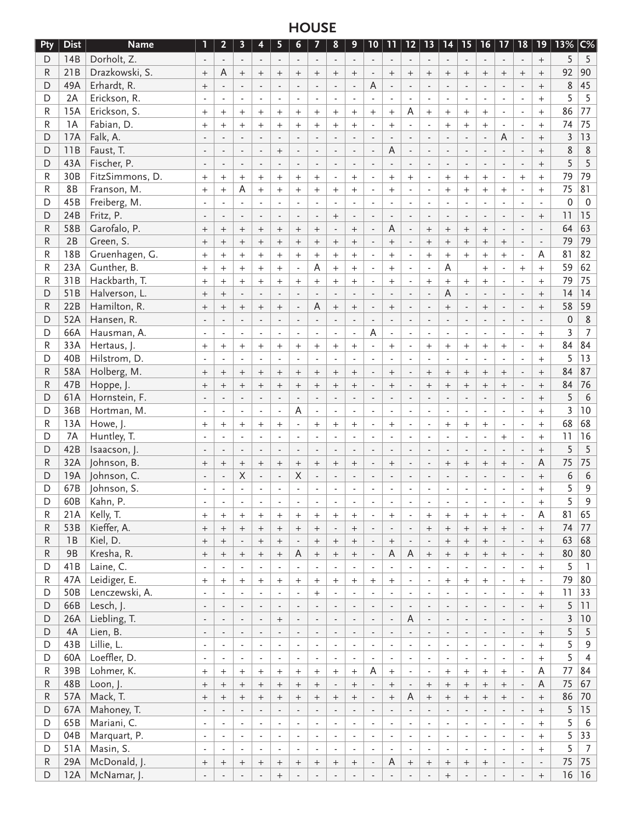# **HOUSE**

| Pty         | <b>Dist</b> | <b>Name</b>     | ı                        | $\overline{2}$           | 3                        | 4                        | 5                        | 6                        | 7                        | 8                        | 9                        | $10 \mid$                | 11                       | 12                       | 13                       | 14                       | 15                       | $16 \mid$                | 17                       | $\mid$ 18 $\mid$            | 19 <sup>°</sup>          | 13%     | $ C\%$           |
|-------------|-------------|-----------------|--------------------------|--------------------------|--------------------------|--------------------------|--------------------------|--------------------------|--------------------------|--------------------------|--------------------------|--------------------------|--------------------------|--------------------------|--------------------------|--------------------------|--------------------------|--------------------------|--------------------------|-----------------------------|--------------------------|---------|------------------|
| D           | 14B         | Dorholt, Z.     |                          | $\blacksquare$           |                          | $\blacksquare$           | $\sim$                   | $\blacksquare$           |                          | $\overline{\phantom{a}}$ | $\sim$                   |                          | $\overline{a}$           | $\blacksquare$           | $\blacksquare$           | $\blacksquare$           | $\sim$                   | $\blacksquare$           | $\blacksquare$           |                             | $\qquad \qquad +$        | 5       | 5                |
| R           | 21B         | Drazkowski, S.  | $^{+}$                   | A                        | $^{+}$                   | $^{+}$                   | $^{+}$                   | $^{+}$                   | $^{+}$                   | $^{+}$                   | $^{+}$                   |                          | $^{+}$                   | $^{+}$                   | $^{+}$                   | $^{+}$                   | $^{+}$                   | $^{+}$                   | $^{+}$                   | $^{+}$                      |                          | 92      | 90               |
| D           | 49A         | Erhardt, R.     | $^{+}$                   | $\blacksquare$           |                          | $\overline{a}$           | ÷,                       | $\mathbf{r}$             |                          | $\mathbf{r}$             | $\overline{a}$           | Α                        | ÷,                       | $\overline{a}$           |                          | $\overline{a}$           |                          |                          |                          |                             | $\qquad \qquad +$        | 8       | 45               |
| D           | 2A          | Erickson, R.    |                          |                          |                          | $\blacksquare$           | $\overline{a}$           | $\blacksquare$           |                          |                          |                          |                          |                          | $\overline{\phantom{a}}$ |                          | ÷,                       | $\overline{a}$           | $\blacksquare$           | $\blacksquare$           |                             | $+$                      | 5       | 5                |
|             | 15A         | Erickson, S.    |                          |                          |                          |                          |                          |                          | $\overline{a}$           | $\blacksquare$           |                          |                          |                          | A                        | $\overline{\phantom{a}}$ |                          |                          |                          |                          |                             |                          | 86      | 77               |
| R           |             |                 | $^{+}$                   | $^{+}$                   | $^{+}$                   | $+$                      | $^{+}$                   | $^{+}$                   | $^{+}$                   | $^{+}$                   | $^{+}$                   | $^{+}$                   | $^{+}$                   |                          | $+$                      | $^{+}$                   | $^{+}$                   | $^{+}$                   | $\blacksquare$           | $\blacksquare$              | $+$                      |         |                  |
| R           | 1A          | Fabian, D.      | $+$                      | $+$                      | $^{+}$                   | $+$                      | $^{+}$                   | $+$                      | $^{+}$                   | $\ddot{}$                | $+$                      | $\blacksquare$           | $+$                      | $\blacksquare$           | $\blacksquare$           | $^{+}$                   | $+$                      | $^{+}$                   | $\blacksquare$           |                             | $+$                      | 74      | 75               |
| D           | 17A         | Falk, A.        |                          |                          |                          | $\blacksquare$           | $\blacksquare$           | $\blacksquare$           |                          | $\blacksquare$           |                          | $\blacksquare$           | $\overline{\phantom{a}}$ | $\blacksquare$           | $\overline{\phantom{a}}$ | $\overline{a}$           | $\blacksquare$           | $\blacksquare$           | A                        |                             | $^{+}$                   | 3       | 13               |
| D           | 11B         | Faust, T.       |                          |                          |                          | $\overline{a}$           | $^{+}$                   | $\overline{a}$           |                          | $\overline{a}$           |                          | $\blacksquare$           | A                        | $\overline{a}$           | $\overline{a}$           | $\overline{a}$           |                          |                          |                          |                             | $+$                      | 8       | 8                |
| D           | 43A         | Fischer, P.     |                          | $\overline{a}$           |                          | $\overline{a}$           | $\blacksquare$           | $\overline{a}$           |                          | $\overline{a}$           | $\blacksquare$           |                          |                          | $\overline{a}$           | $\overline{\phantom{a}}$ | $\overline{a}$           | $\overline{a}$           | $\overline{a}$           | $\overline{a}$           |                             |                          | 5       | 5                |
| R           | 30B         | FitzSimmons, D. | $^{+}$                   | $+$                      | $^{+}$                   | $\qquad \qquad +$        | $^{+}$                   | $^{+}$                   | $^{+}$                   | $\overline{a}$           | $^{+}$                   | $\overline{\phantom{a}}$ | $^{+}$                   | $^{+}$                   | $\blacksquare$           | $^{+}$                   | $\qquad \qquad +$        | $^{+}$                   | $\blacksquare$           | $^{+}$                      | $+$                      | 79      | 79               |
| R           | 8B          | Franson, M.     | $+$                      | $+$                      | Α                        | $+$                      | $^{+}$                   | $\ddot{}$                | $^{+}$                   | $\qquad \qquad +$        | $+$                      | $\blacksquare$           | $+$                      | ٠                        | $\overline{\phantom{a}}$ | $\ddot{}$                | $+$                      | $^{+}$                   | $+$                      |                             | $+$                      | 75      | 81               |
| D           | 45B         | Freiberg, M.    |                          | $\blacksquare$           |                          | $\overline{\phantom{a}}$ | $\overline{\phantom{a}}$ | $\blacksquare$           |                          | $\blacksquare$           |                          | $\overline{\phantom{a}}$ | $\blacksquare$           | $\overline{\phantom{m}}$ | $\overline{\phantom{a}}$ | $\overline{\phantom{a}}$ | $\overline{\phantom{a}}$ | $\blacksquare$           | $\blacksquare$           |                             | $\overline{\phantom{a}}$ | 0       | $\mathbf 0$      |
| D           | 24B         | Fritz, P.       |                          | $\blacksquare$           |                          | $\overline{\phantom{a}}$ |                          | $\overline{\phantom{a}}$ | $\overline{\phantom{a}}$ | $^{+}$                   |                          | $\blacksquare$           |                          | $\overline{a}$           | $\overline{\phantom{a}}$ | $\overline{\phantom{a}}$ | $\blacksquare$           |                          | $\overline{\phantom{a}}$ |                             | $\qquad \qquad +$        | 11      | 15               |
| ${\sf R}$   | 58B         | Garofalo, P.    | $^{+}$                   | $\qquad \qquad +$        | $^{+}$                   | $^{+}$                   | $^{+}$                   | $^{+}$                   | $^{+}$                   | $\overline{\phantom{a}}$ | $^{+}$                   | $\blacksquare$           | A                        | L,                       | $^{+}$                   | $^{+}$                   | $^{+}$                   | $^{+}$                   |                          |                             |                          | 64      | 63               |
| ${\sf R}$   | 2B          | Green, S.       | $^{+}$                   | $\qquad \qquad +$        | $^{+}$                   | $\qquad \qquad +$        | $^{+}$                   | $^{+}$                   | $^{+}$                   | $^+$                     |                          | $\blacksquare$           | $\ddot{}$                | $\overline{a}$           | $^{+}$                   | $\ddot{}$                | $^{+}$                   | $^{+}$                   | $\qquad \qquad +$        | $\overline{\phantom{a}}$    |                          | 79      | 79               |
|             | 18B         |                 |                          |                          |                          |                          |                          |                          |                          |                          |                          |                          |                          |                          |                          |                          |                          |                          |                          |                             |                          |         | 82               |
| R           |             | Gruenhagen, G.  | $^{+}$                   | $+$                      | $^{+}$                   | $+$                      | $^{+}$                   | $\ddot{}$                | $^{+}$                   | $^{+}$                   | $^{+}$                   | $\blacksquare$           | $^{+}$                   | $\overline{a}$           | $+$                      | $^{+}$                   | $^{+}$                   | $^{+}$                   | $^{+}$                   | $\blacksquare$              | A                        | 81      |                  |
| R           | 23A         | Gunther, B.     | $+$                      | $+$                      | $+$                      | $+$                      | $^{+}$                   | $\sim$                   | Α                        | $+$                      | $+$                      | $\blacksquare$           | $+$                      | $\blacksquare$           | $\blacksquare$           | A                        |                          | $^{+}$                   |                          | $^{+}$                      | $+$                      | 59      | 62               |
| R           | 31B         | Hackbarth, T.   | $^{+}$                   | $+$                      | $^{+}$                   | $+$                      | $^{+}$                   | $\ddot{}$                | $^{+}$                   | $^{+}$                   | $\qquad \qquad +$        | $\blacksquare$           | $+$                      | $\blacksquare$           | $\qquad \qquad +$        | $^{+}$                   | $^{+}$                   | $^{+}$                   | $\blacksquare$           | $\blacksquare$              | $+$                      | 79      | 75               |
| D           | 51B         | Halverson, L.   | $^{+}$                   | $+$                      |                          | $\overline{a}$           |                          | $\overline{a}$           |                          | $\overline{a}$           |                          | $\Box$                   | $\overline{a}$           | $\overline{a}$           | $\overline{a}$           | A                        | $\overline{a}$           |                          |                          |                             | $+$                      | 14      | 14               |
| ${\sf R}$   | 22B         | Hamilton, R.    | $^{+}$                   |                          | $^{+}$                   | $\qquad \qquad +$        | $^{+}$                   | $\overline{\phantom{a}}$ | A                        | $^{+}$                   | $+$                      |                          | $\qquad \qquad +$        | L,                       | $\overline{a}$           | $\ddot{}$                | $\overline{a}$           | $^{+}$                   |                          |                             |                          | 58      | 59               |
| D           | 52A         | Hansen, R.      |                          |                          |                          |                          |                          | $\overline{\phantom{a}}$ |                          | $\blacksquare$           |                          |                          |                          |                          |                          |                          |                          |                          |                          |                             |                          | 0       | 8                |
| D           | 66A         | Hausman, A.     |                          | $\blacksquare$           |                          | $\overline{\phantom{a}}$ | $\overline{\phantom{a}}$ | $\overline{\phantom{a}}$ |                          | $\overline{\phantom{a}}$ | $\blacksquare$           | A                        | $\overline{\phantom{a}}$ |                          | $\blacksquare$           | $\blacksquare$           | ÷,                       |                          |                          |                             | $+$                      | 3       | 7                |
| R           | 33A         | Hertaus, J.     | $^{+}$                   | $+$                      | $+$                      | $^{+}$                   | $+$                      | $\ddot{}$                | $^{+}$                   | $^{+}$                   | $+$                      | $\overline{\phantom{a}}$ | $+$                      | $\blacksquare$           | $\qquad \qquad +$        | $^{+}$                   | $\qquad \qquad +$        | $^{+}$                   | $^{+}$                   |                             | $+$                      | 84      | 84               |
| D           | 40B         | Hilstrom, D.    |                          | $\sim$                   |                          | $\blacksquare$           | $\sim$                   | $\overline{\phantom{a}}$ |                          | $\blacksquare$           | $\blacksquare$           | $\blacksquare$           | $\overline{\phantom{a}}$ | $\overline{\phantom{m}}$ | $\blacksquare$           | $\blacksquare$           | $\blacksquare$           |                          | $\bar{a}$                |                             | $+$                      | 5       | 13               |
| ${\sf R}$   | 58A         | Holberg, M.     | $^{+}$                   | $^{+}$                   | $^{+}$                   | $^{+}$                   | $+$                      | $^{+}$                   | $^{+}$                   | $^{+}$                   | $^{+}$                   | $\blacksquare$           | $^{+}$                   |                          | $^{+}$                   | $^{+}$                   | $^{+}$                   | $^{+}$                   | $^{+}$                   |                             | $+$                      | 84      | 87               |
| ${\sf R}$   | 47B         | Hoppe, J.       | $^{+}$                   | $\qquad \qquad +$        | $^{+}$                   | $^{+}$                   | $^{+}$                   | $^{+}$                   | $^{+}$                   | $\qquad \qquad +$        | $^{+}$                   | $\blacksquare$           | $+$                      | $\blacksquare$           | $^{+}$                   | $^{+}$                   | $^{+}$                   | $^{+}$                   | $\qquad \qquad +$        | $\sim$                      |                          | 84      | 76               |
| D           | 61A         | Hornstein, F.   |                          |                          |                          | $\blacksquare$           |                          | $\overline{\phantom{a}}$ |                          | $\blacksquare$           |                          |                          |                          | $\overline{\phantom{a}}$ |                          | $\overline{a}$           |                          | $\overline{\phantom{a}}$ |                          |                             |                          | 5       | $\boldsymbol{6}$ |
|             |             |                 |                          |                          |                          |                          | $\overline{\phantom{a}}$ |                          |                          |                          |                          |                          |                          |                          | $\overline{\phantom{a}}$ |                          |                          |                          |                          |                             |                          |         |                  |
| D           | 36B         | Hortman, M.     | $\blacksquare$           |                          |                          | $\blacksquare$           | $\blacksquare$           | A                        | $\sim$                   | $\sim$                   | $\blacksquare$           | $\blacksquare$           | $\blacksquare$           | $\overline{a}$           | $\blacksquare$           | $\blacksquare$           | $\bar{a}$                | $\sim$                   | $\bar{a}$                |                             | $+$                      | 3       | 10               |
| R           | 13A         | Howe, J.        | $^{+}$                   | $+$                      | $^{+}$                   | $^{+}$                   | $+$                      | $\blacksquare$           | $^{+}$                   | $^{+}$                   | $^{+}$                   | $\blacksquare$           | $^{+}$                   | $\blacksquare$           | $\blacksquare$           | $^{+}$                   | $^{+}$                   | $^{+}$                   | $\blacksquare$           | $\blacksquare$              | $+$                      | 68      | 68               |
| D           | 7A          | Huntley, T.     |                          |                          |                          |                          |                          | $\sim$                   |                          | $\overline{a}$           |                          | $\sim$                   | $\overline{a}$           | $\overline{a}$           | $\overline{a}$           | $\overline{\phantom{a}}$ | $\overline{a}$           | $\overline{\phantom{a}}$ | $^{+}$                   | $\blacksquare$              | $+$                      | 11      | 16               |
| D           | 42B         | Isaacson, J.    |                          |                          |                          | $\overline{a}$           |                          | $\overline{a}$           |                          | $\mathbf{r}$             |                          |                          | $\overline{a}$           | $\overline{a}$           | $\overline{a}$           | $\overline{a}$           |                          |                          |                          |                             |                          | 5       | 5                |
| ${\sf R}$   | 32A         | Johnson, B.     | $^{+}$                   |                          |                          | $\qquad \qquad +$        | $^{+}$                   | $^{+}$                   | $^{+}$                   | $^{+}$                   |                          |                          |                          | $\overline{\phantom{a}}$ | $\overline{\phantom{a}}$ | $^{+}$                   | $\qquad \qquad +$        |                          |                          |                             | A                        | 75      | 75               |
| D           | 19A         | Johnson, C.     |                          | $\blacksquare$           | $\sf X$                  | $\Box$                   | $\overline{\phantom{a}}$ | $\sf X$                  |                          | $\overline{\phantom{a}}$ | $\overline{\phantom{a}}$ | $\overline{\phantom{a}}$ | $\overline{\phantom{a}}$ | $\overline{\phantom{a}}$ | $\overline{\phantom{a}}$ | $\overline{a}$           | $\overline{\phantom{a}}$ |                          | $\overline{\phantom{a}}$ |                             |                          | 6       | 6                |
| D           | 67B         | Johnson, S.     |                          |                          |                          |                          |                          |                          |                          | ÷,                       |                          |                          |                          |                          |                          |                          |                          |                          |                          |                             | $+$                      | 5       | 9                |
| D           | 60B         | Kahn, P.        |                          |                          |                          |                          |                          |                          |                          |                          |                          |                          |                          |                          |                          |                          |                          |                          |                          |                             | $+$                      | 5       | 9                |
| ${\sf R}$   | 21A         | Kelly, T.       | $^{+}$                   | $^{+}$                   | $^{+}$                   | $^{+}$                   | $^{+}$                   | $^{+}$                   | $\mathrm{+}$             | $^{+}$                   | $^{+}$                   | $\overline{\phantom{a}}$ | $^{+}$                   | $\blacksquare$           | $^{+}$                   | $^{+}$                   | $^{+}$                   | $^+$                     | $^{+}$                   | $\blacksquare$              | A                        | 81      | 65               |
| $\mathsf R$ | 53B         | Kieffer, A.     | $^{+}$                   | $\qquad \qquad +$        | $+$                      | $+$                      | $+$                      | $+$                      | $^{+}$                   | $\Box$                   | $\qquad \qquad +$        | $\Box$                   | $\overline{\phantom{a}}$ | $\Box$                   | $^{+}$                   | $^{+}$                   | $^{+}$                   | $\boldsymbol{+}$         | $+$                      | $\overline{\phantom{a}}$    | $^{+}$                   | 74      | 77               |
| ${\sf R}$   | 1B          | Kiel, D.        | $\qquad \qquad +$        | $^{+}$                   | $\overline{\phantom{a}}$ | $+$                      | $+$                      | $\blacksquare$           | $^{+}$                   | $\qquad \qquad +$        | $\qquad \qquad +$        | $\overline{\phantom{a}}$ | $^{+}$                   | $\blacksquare$           | $\overline{\phantom{a}}$ | $+$                      | $^{+}$                   | $+$                      | $\blacksquare$           | $\overline{\phantom{a}}$    | $^{+}$                   | 63      | 68               |
| ${\sf R}$   | 9B          | Kresha, R.      | $\boldsymbol{+}$         | $\boldsymbol{+}$         | $^{+}$                   | $+$                      | $^{+}$                   | A                        | $^{+}$                   | $+$                      | $\qquad \qquad +$        | $\blacksquare$           | A                        | А                        | $\boldsymbol{+}$         | $\boldsymbol{+}$         | $^{+}$                   | $\qquad \qquad +$        | $\boldsymbol{+}$         | $\blacksquare$              | $^{+}$                   | 80      | 80               |
| D           | 41B         | Laine, C.       | $\blacksquare$           | $\Box$                   | $\blacksquare$           |                          |                          | $\blacksquare$           |                          |                          |                          |                          |                          |                          |                          |                          |                          | $\blacksquare$           | $\blacksquare$           |                             |                          | 5       |                  |
|             |             |                 |                          |                          |                          | $\blacksquare$           | $\blacksquare$           |                          | $\blacksquare$           | $\blacksquare$           | $\overline{\phantom{a}}$ | $\blacksquare$           | $\blacksquare$           | $\blacksquare$           | $\overline{\phantom{a}}$ | $\blacksquare$           | $\blacksquare$           |                          |                          | $\blacksquare$              | $+$                      |         | $\overline{1}$   |
| ${\sf R}$   | 47A         | Leidiger, E.    | $^{+}$                   | $\boldsymbol{+}$         | $+$                      | $+$                      | $^{+}$                   | $^{+}$                   | $^{+}$                   | $^{+}$                   | $^{+}$                   | $+$                      | $^{+}$                   | $\overline{\phantom{a}}$ | $\blacksquare$           | $^{+}$                   | $^{+}$                   | $^{+}$                   | $\Box$                   | $+$                         | $\omega$                 | 79      | 80               |
| D           | 50B         | Lenczewski, A.  |                          | $\overline{a}$           |                          | $\overline{a}$           | $\Box$                   | $\overline{\phantom{a}}$ | $^{+}$                   | $\overline{\phantom{a}}$ | $\overline{\phantom{a}}$ | $\mathbb{Z}^2$           | $\overline{a}$           | $\overline{\phantom{a}}$ | $\Box$                   | $\bar{\mathcal{L}}$      |                          | $\overline{\phantom{a}}$ | $\overline{\phantom{a}}$ | $\Box$                      | $+$                      | 11      | 33               |
| D           | 66B         | Lesch, J.       | $\overline{\phantom{a}}$ | $\overline{\phantom{a}}$ | $\overline{\phantom{a}}$ | $\Box$                   | $\overline{\phantom{a}}$ | $\overline{\phantom{a}}$ | $\blacksquare$           | l,                       | $\blacksquare$           | $\Box$                   | $\blacksquare$           | L,                       | $\blacksquare$           | $\blacksquare$           | $\Box$                   | $\Box$                   | $\Box$                   | $\blacksquare$              | $\qquad \qquad +$        | 5       | 11               |
| D           | 26A         | Liebling, T.    | $\overline{\phantom{a}}$ | $\Box$                   | $\overline{\phantom{a}}$ | $\overline{\phantom{a}}$ | $^{+}$                   | $\overline{\phantom{a}}$ | $\overline{\phantom{a}}$ | $\Box$                   | $\overline{\phantom{a}}$ | $\overline{\phantom{a}}$ | $\overline{\phantom{a}}$ | Α                        | $\overline{\phantom{a}}$ | $\overline{\phantom{a}}$ | $\overline{\phantom{a}}$ | $\overline{\phantom{a}}$ | $\blacksquare$           | $\overline{\phantom{a}}$    | $\overline{\phantom{a}}$ | 3       | 10               |
| D           | 4A          | Lien, B.        | $\overline{\phantom{a}}$ | $\overline{\phantom{a}}$ | $\overline{\phantom{a}}$ | $\overline{\phantom{a}}$ | $\overline{\phantom{a}}$ | $\overline{\phantom{a}}$ | $\overline{\phantom{a}}$ | $\overline{\phantom{a}}$ | $\overline{\phantom{a}}$ | $\overline{\phantom{a}}$ | $\overline{\phantom{a}}$ | $\overline{\phantom{a}}$ | $\overline{\phantom{a}}$ | $\bullet$                | $\overline{\phantom{a}}$ | $\overline{\phantom{a}}$ | $\overline{\phantom{a}}$ | $\overline{\phantom{a}}$    | $\qquad \qquad +$        | 5       | 5                |
| D           | 43B         | Lillie, L.      | $\blacksquare$           | $\Box$                   | $\blacksquare$           | $\blacksquare$           | $\blacksquare$           | $\blacksquare$           | $\blacksquare$           | $\blacksquare$           | $\blacksquare$           | $\blacksquare$           | $\blacksquare$           | $\blacksquare$           | $\overline{\phantom{a}}$ | $\blacksquare$           | $\blacksquare$           | $\blacksquare$           | $\Box$                   | $\blacksquare$              | $+$                      | 5       | 9                |
| D           | 60A         | Loeffler, D.    | $\blacksquare$           | $\overline{\phantom{a}}$ | $\overline{a}$           | $\Box$                   | $\blacksquare$           | $\mathcal{L}$            | $\bar{a}$                | $\mathbb{Z}^2$           | $\bar{a}$                | $\Box$                   | $\overline{\phantom{a}}$ | $\Box$                   | $\blacksquare$           | $\mathbb{Z}^2$           | $\sim$                   | $\blacksquare$           | $\overline{\phantom{a}}$ | $\mathcal{L}^{\mathcal{L}}$ | $+$                      | 5       | $\overline{4}$   |
| ${\sf R}$   | 39B         | Lohmer, K.      | $+$                      | $\boldsymbol{+}$         | $+$                      | $+$                      | $+$                      | $+$                      | $+$                      | $+$                      | $+$                      | A                        | $^{+}$                   | $\Box$                   | $\Box$                   | $+$                      | $^{+}$                   | $\qquad \qquad +$        | $+$                      | $\blacksquare$              | A                        | $77 \,$ | 84               |
| ${\sf R}$   | 48B         | Loon, J.        | $\qquad \qquad +$        | $\boldsymbol{+}$         | $+$                      | $+$                      | $^{+}$                   | $\qquad \qquad +$        | $^{+}$                   | $\blacksquare$           | $\boldsymbol{+}$         | $\Box$                   | $+$                      | $\overline{\phantom{a}}$ | $\qquad \qquad +$        | $^{+}$                   | $\qquad \qquad +$        | $+$                      | $\boldsymbol{+}$         | $\blacksquare$              | A                        | 75      | 67               |
| ${\sf R}$   | 57A         | Mack, T.        | $\qquad \qquad +$        | $\boldsymbol{+}$         | $\qquad \qquad +$        | $\qquad \qquad +$        | $+$                      | $+$                      | $^{+}$                   | $+$                      | $\qquad \qquad +$        | $\blacksquare$           | $\qquad \qquad +$        | А                        | $\boldsymbol{+}$         | $\boldsymbol{+}$         | $\boldsymbol{+}$         | $\qquad \qquad +$        | $\boldsymbol{+}$         | $\blacksquare$              | $\qquad \qquad +$        | 86      | 70               |
| D           | 67A         | Mahoney, T.     | $\blacksquare$           | $\Box$                   | $\overline{\phantom{a}}$ | $\Box$                   | $\blacksquare$           | $\overline{\phantom{a}}$ |                          | $\overline{\phantom{a}}$ | $\overline{\phantom{a}}$ |                          |                          | $\Box$                   | $\blacksquare$           | $\overline{\phantom{a}}$ | $\overline{\phantom{a}}$ | $\Box$                   | $\blacksquare$           | $\blacksquare$              |                          | 5       | 15               |
|             |             |                 |                          |                          |                          |                          |                          |                          | $\blacksquare$           |                          |                          | $\overline{\phantom{a}}$ | $\blacksquare$           |                          |                          |                          |                          |                          |                          |                             | $^{+}$                   |         |                  |
| D           | 65B         | Mariani, C.     | $\blacksquare$           | $\Box$                   | $\blacksquare$           | $\blacksquare$           | $\blacksquare$           | $\mathbb{L}$             | $\blacksquare$           | $\blacksquare$           | $\blacksquare$           | $\blacksquare$           | $\blacksquare$           | $\overline{\phantom{a}}$ | $\blacksquare$           | $\blacksquare$           | $\blacksquare$           | $\blacksquare$           | $\blacksquare$           | $\blacksquare$              | $+$                      | 5       | 6                |
| D           | 04B         | Marquart, P.    | $\blacksquare$           | $\overline{\phantom{a}}$ | $\overline{\phantom{a}}$ | ÷.                       | $\blacksquare$           | $\mathbb{Z}^2$           | $\Box$                   | $\mathbb{Z}^2$           | $\blacksquare$           | $\omega$                 | $\blacksquare$           | $\Box$                   | $\Box$                   | $\blacksquare$           | $\sim$                   | $\omega$                 | $\omega$                 | $\blacksquare$              | $+$                      | 5       | 33               |
| D           | 51A         | Masin, S.       |                          | $\overline{\phantom{a}}$ | $\overline{\phantom{a}}$ | ÷.                       | $\blacksquare$           | $\overline{\phantom{a}}$ | $\overline{\phantom{a}}$ | $\overline{\phantom{a}}$ | $\blacksquare$           | $\overline{\phantom{a}}$ | $\Box$                   | $\overline{\phantom{a}}$ | $\Box$                   | $\Box$                   | $\overline{\phantom{a}}$ | $\Box$                   | $\overline{\phantom{a}}$ | $\blacksquare$              | $\ddot{}$                | 5       | $\overline{7}$   |
| ${\sf R}$   | 29A         | McDonald, J.    | $\qquad \qquad +$        | $\boldsymbol{+}$         | $\qquad \qquad +$        | $\qquad \qquad +$        | $\qquad \qquad +$        | $\ddot{}$                |                          | $\qquad \qquad +$        | $^+$                     | $\blacksquare$           | A                        | $^{+}$                   | $+$                      | $\qquad \qquad +$        | $+$                      | $\qquad \qquad +$        | $\overline{\phantom{a}}$ | $\overline{\phantom{a}}$    | $\Box$                   | 75      | 75               |
| D           | 12A         | McNamar, J.     |                          |                          |                          |                          | $^{+}$                   |                          |                          | $\blacksquare$           |                          |                          |                          |                          |                          | $^{+}$                   |                          |                          |                          |                             | $\boldsymbol{+}$         | 16      | <b>16</b>        |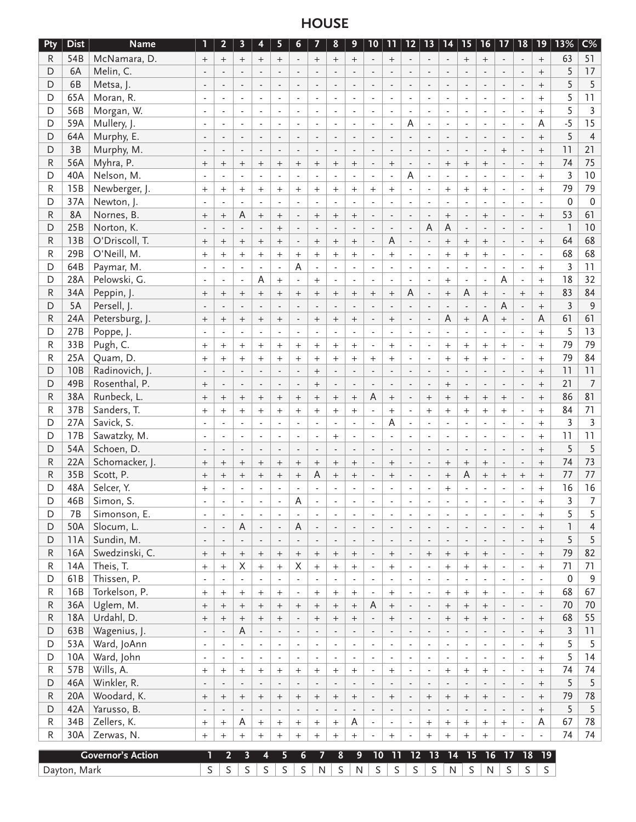# **HOUSE**

| Pty         | <b>Dist</b>  | <b>Name</b>              | 1                                   | $\overline{2}$                             | $\overline{\mathbf{3}}$  | 4                                          | 5                           | 6                                          | 7                          | 8                                          | 9                                     | $10 \mid$                                  | 11                             | 12                                                   | 13                       |                               | 14   15                  | $16 \mid$                | 17                                                   | 18                                         | 19                         | 13%            | $C\%$            |
|-------------|--------------|--------------------------|-------------------------------------|--------------------------------------------|--------------------------|--------------------------------------------|-----------------------------|--------------------------------------------|----------------------------|--------------------------------------------|---------------------------------------|--------------------------------------------|--------------------------------|------------------------------------------------------|--------------------------|-------------------------------|--------------------------|--------------------------|------------------------------------------------------|--------------------------------------------|----------------------------|----------------|------------------|
| R           | 54B          | McNamara, D.             | $\qquad \qquad +$                   | $+$                                        | $+$                      | $^{+}$                                     | $+$                         | $\sim$                                     |                            | $^{+}$                                     | $+$                                   |                                            | $\qquad \qquad +$              | $\sim$                                               | $\blacksquare$           | $\sim$                        | $^{+}$                   | $\! + \!$                |                                                      | $\overline{\phantom{a}}$                   | $^{+}$                     | 63             | 51               |
| D           | 6A           | Melin, C.                |                                     |                                            |                          |                                            | $\mathcal{L}$               |                                            |                            |                                            | $\overline{a}$                        |                                            |                                |                                                      |                          |                               |                          |                          |                                                      | $\overline{\phantom{a}}$                   | $+$                        | 5              | 17               |
| D           | 6B           | Metsa, J.                | $\overline{\phantom{a}}$            |                                            | $\overline{a}$           |                                            | $\overline{\phantom{a}}$    |                                            |                            |                                            | $\overline{a}$                        |                                            | $\overline{a}$                 | $\overline{a}$                                       | $\overline{a}$           |                               |                          |                          |                                                      | $\overline{a}$                             | $+$                        | 5              | 5                |
| D           | 65A          | Moran, R.                | $\blacksquare$                      |                                            |                          |                                            | $\blacksquare$              |                                            |                            |                                            | $\overline{\phantom{a}}$              |                                            | $\overline{\phantom{a}}$       |                                                      | $\overline{\phantom{a}}$ |                               |                          |                          |                                                      | $\overline{\phantom{a}}$                   | $^{+}$                     | 5              | 11               |
| D           | 56B          | Morgan, W.               | $\overline{\phantom{a}}$            | $\overline{\phantom{a}}$                   | $\overline{\phantom{a}}$ | $\overline{\phantom{a}}$                   | $\blacksquare$              | $\overline{\phantom{a}}$                   | $\blacksquare$             | $\overline{\phantom{a}}$                   | $\blacksquare$                        | ÷,                                         | $\overline{\phantom{a}}$       | $\blacksquare$                                       | $\blacksquare$           | $\blacksquare$                | $\blacksquare$           | $\blacksquare$           | $\overline{\phantom{a}}$                             | $\overline{\phantom{a}}$                   | $^{+}$                     | 5              | $\mathbf{3}$     |
| D           | 59A          | Mullery, J.              | $\blacksquare$                      |                                            | $\blacksquare$           | $\blacksquare$                             | $\blacksquare$              | $\sim$                                     | $\sim$                     |                                            | $\overline{\phantom{a}}$              | ÷,                                         | $\overline{\phantom{a}}$       | Α                                                    | $\blacksquare$           | $\overline{\phantom{a}}$      |                          | $\overline{\phantom{a}}$ | $\blacksquare$                                       | $\overline{\phantom{a}}$                   | A                          | $-5$           | 15               |
| D           | 64A          | Murphy, E.               | $\overline{\phantom{a}}$            |                                            | $\overline{\phantom{a}}$ | $\blacksquare$                             | $\overline{\phantom{a}}$    | $\blacksquare$                             | $\blacksquare$             |                                            | $\blacksquare$                        | $\overline{a}$                             | $\overline{\phantom{a}}$       | $\overline{\phantom{a}}$                             | $\blacksquare$           | $\overline{\phantom{a}}$      | $\blacksquare$           | $\blacksquare$           | $\blacksquare$                                       | $\blacksquare$                             | $+$                        | 5              | $\overline{4}$   |
| D           | 3B           | Murphy, M.               | $\Box$                              |                                            | $\overline{a}$           |                                            | $\overline{\phantom{a}}$    |                                            | $\overline{a}$             |                                            | $\overline{a}$                        | $\overline{a}$                             | $\overline{a}$                 | $\overline{a}$                                       | $\overline{a}$           | $\mathbf{r}$                  |                          | $\overline{a}$           | $^{+}$                                               | $\overline{a}$                             | $+$                        | 11             | 21               |
| ${\sf R}$   | 56A          | Myhra, P.                | $\boldsymbol{+}$                    |                                            | $\qquad \qquad +$        | $^{+}$                                     | $^{+}$                      | $^{+}$                                     | $^{+}$                     | $^{+}$                                     | $\qquad \qquad +$                     | $\overline{a}$                             |                                | $\Box$                                               | $\overline{a}$           | $^{+}$                        | $^{+}$                   | $\ddot{}$                |                                                      | $\overline{a}$                             | $\ddot{}$                  | 74             | 75               |
| D           | 40A          | Nelson, M.               |                                     |                                            |                          |                                            | $\blacksquare$              |                                            | $\overline{a}$             |                                            |                                       |                                            | $\overline{a}$                 | $\overline{A}$                                       |                          | $\overline{\phantom{a}}$      |                          |                          |                                                      | $\blacksquare$                             | $\ddot{}$                  | 3              | 10               |
| R           | 15B          | Newberger, J.            | $+$                                 | $+$                                        | $+$                      | $+$                                        | $\ddot{}$                   | $^{+}$                                     | $^{+}$                     | $^{+}$                                     | $+$                                   | $+$                                        | $+$                            | $\blacksquare$                                       |                          | $+$                           | $+$                      | $+$                      |                                                      | $\blacksquare$                             | $\ddot{}$                  | 79             | 79               |
| D           | 37A          | Newton, J.               | $\overline{\phantom{a}}$            |                                            | $\blacksquare$           |                                            | $\blacksquare$              |                                            | $\bar{a}$                  |                                            | $\blacksquare$                        |                                            | $\overline{a}$                 | $\blacksquare$                                       | $\overline{a}$           | $\sim$                        |                          | $\sim$                   |                                                      | $\blacksquare$                             | $\blacksquare$             | 0              | $\boldsymbol{0}$ |
| ${\sf R}$   | 8A           | Nornes, B.               | $\qquad \qquad +$                   | $\qquad \qquad +$                          | Α                        | $+$                                        | $\ddot{}$                   |                                            | $^{+}$                     | $^{+}$                                     | $\qquad \qquad +$                     |                                            | $\blacksquare$                 | $\mathcal{L}$                                        | $\overline{a}$           | $\ddot{}$                     |                          | $+$                      |                                                      | $\overline{\phantom{a}}$                   | $^{+}$                     | 53             | 61               |
| D           | 25B          | Norton, K.               | $\overline{\phantom{a}}$            |                                            | $\overline{a}$           |                                            | $^{+}$                      |                                            | $\overline{a}$             |                                            | $\overline{a}$                        |                                            | $\overline{a}$                 | $\mathbf{r}$                                         | A                        | $\mathsf A$                   |                          | $\overline{a}$           |                                                      | $\overline{a}$                             |                            | $\mathbb{I}$   | 10               |
| ${\sf R}$   | 13B          | O'Driscoll, T.           | $\boldsymbol{+}$                    | $^{+}$                                     | $^{+}$                   | $^{+}$                                     | $^{+}$                      |                                            | $^{+}$                     | $^{+}$                                     | $\qquad \qquad +$                     |                                            | A                              |                                                      |                          | $\qquad \qquad +$             | $^{+}$                   |                          |                                                      | $\overline{a}$                             | $^{+}$                     | 64             | 68               |
| R           | 29B          | O'Neill, M.              | $+$                                 | $^{+}$                                     | $+$                      | $^{+}$                                     | $\ddot{}$                   | $^{+}$                                     | $^{+}$                     | $^{+}$                                     | $+$                                   |                                            | $\ddot{}$                      |                                                      | ÷,                       | $\ddot{}$                     | $^{+}$                   | $+$                      |                                                      | $\overline{a}$                             | $\blacksquare$             | 68             | 68               |
| D           | 64B          | Paymar, M.               | $\Box$                              |                                            | $\overline{a}$           | ÷,                                         | $\Box$                      | A                                          | $\blacksquare$             |                                            | $\blacksquare$                        | ÷,                                         | $\overline{a}$                 | $\overline{a}$                                       | $\bar{a}$                | $\overline{\phantom{a}}$      |                          | $\overline{a}$           | $\blacksquare$                                       | $\blacksquare$                             | $+$                        | 3              | 11               |
| D           | 28A          | Pelowski, G.             | $\blacksquare$                      | $\blacksquare$                             | $\blacksquare$           | Α                                          | $\ddot{}$                   | $\blacksquare$                             | $+$                        | $\overline{a}$                             | $\overline{\phantom{a}}$              | $\sim$                                     | $\blacksquare$                 | $\sim$                                               | $\blacksquare$           | $^{+}$                        | $\blacksquare$           | $\blacksquare$           | A                                                    | $\overline{\phantom{a}}$                   | $+$                        | 18             | 32               |
| ${\sf R}$   | 34A          | Peppin, J.               | $\boldsymbol{+}$                    | $^{+}$                                     | $^{+}$                   | $^{+}$                                     | $\ddot{}$                   | $^{+}$                                     | $^{+}$                     | $^{+}$                                     | $^{+}$                                | $^{+}$                                     | $^{+}$                         | Α                                                    | $\overline{a}$           | $\ddot{}$                     | A                        | $+$                      |                                                      | $+$                                        | $+$                        | 83             | 84               |
| D           | 5A           | Persell, J.              |                                     |                                            |                          |                                            |                             |                                            |                            |                                            |                                       |                                            |                                |                                                      |                          |                               |                          | $\overline{a}$           | A                                                    | $\overline{\phantom{a}}$                   | $^{+}$                     | $\overline{3}$ | 9                |
| ${\sf R}$   | 24A          | Petersburg, J.           | $\qquad \qquad +$                   |                                            | $\ddot{}$                | $^{+}$                                     | $^{+}$                      |                                            | $\qquad \qquad +$          | $^{+}$                                     | $\boldsymbol{+}$                      |                                            |                                |                                                      |                          | $\overline{A}$                | $^{+}$                   | A                        | $^{+}$                                               | $\blacksquare$                             | A                          | 61             | 61               |
| D           | 27B          | Poppe, J.                | $\overline{\phantom{a}}$            |                                            | $\blacksquare$           |                                            | $\bar{\mathcal{L}}$         |                                            | $\overline{a}$             |                                            | $\blacksquare$                        |                                            | $\overline{a}$                 | $\overline{\phantom{a}}$                             |                          |                               |                          |                          |                                                      | $\blacksquare$                             | $\ddot{}$                  | 5              | 13               |
| R           | 33B          | Pugh, C.                 | $\qquad \qquad +$                   | $+$                                        | $+$                      | $+$                                        | $\ddot{}$                   | $^{+}$                                     | $+$                        | $^{+}$                                     | $+$                                   | $\sim$                                     | $+$                            | $\blacksquare$                                       | $\overline{a}$           | $^{+}$                        | $+$                      | $+$                      | $^{+}$                                               | $\blacksquare$                             | $+$                        | 79             | 79               |
| R           | 25A          | Quam, D.                 | $\qquad \qquad +$                   | $+$                                        | $+$                      | $+$                                        | $\ddot{}$                   | $^{+}$                                     | $^{+}$                     | $^{+}$                                     | $+$                                   | $^{+}$                                     | $+$                            | $\blacksquare$                                       | $\overline{a}$           | $^{+}$                        | $+$                      | $+$                      |                                                      | $\blacksquare$                             | $+$                        | 79             | 84               |
| D           | 10B          | Radinovich, J.           |                                     |                                            |                          |                                            | $\overline{\phantom{a}}$    |                                            | $^{+}$                     |                                            | $\overline{a}$                        |                                            |                                |                                                      |                          |                               |                          |                          |                                                      | $\overline{\phantom{a}}$                   | $+$                        | 11             | 11               |
| D           | 49B          | Rosenthal, P.            | $\boldsymbol{+}$                    |                                            | $\blacksquare$           | $\blacksquare$                             | $\Box$                      | $\overline{\phantom{a}}$                   | $\qquad \qquad +$          |                                            | $\blacksquare$                        |                                            | $\overline{a}$                 |                                                      | $\blacksquare$           | $\qquad \qquad +$             | $\overline{\phantom{a}}$ | $\overline{a}$           | $\blacksquare$                                       | $\overline{\phantom{a}}$                   | $^{+}$                     | 21             | $\overline{7}$   |
| ${\sf R}$   | 38A          | Runbeck, L.              | $\qquad \qquad +$                   | $^{+}$                                     | $\qquad \qquad +$        | $^{+}$                                     | $\ddot{}$                   | $^{+}$                                     | $\qquad \qquad +$          | $^{+}$                                     | $\qquad \qquad +$                     | A                                          |                                |                                                      | $^{+}$                   | $+$                           | $^{+}$                   | $\qquad \qquad +$        | $^{+}$                                               | $\blacksquare$                             | $\ddot{}$                  | 86             | 81               |
| R           | 37B          | Sanders, T.              | $+$                                 | $+$                                        | $+$                      | $^{+}$                                     | $\ddot{}$                   | $^{+}$                                     | $+$                        | $^{+}$                                     | $+$                                   | ÷,                                         | $+$                            | $\blacksquare$                                       | $^{+}$                   | $+$                           | $^{+}$                   | $+$                      | $^{+}$                                               | $\blacksquare$                             | $^{+}$                     | 84             | 71               |
| D           | 27A          | Savick, S.               | $\blacksquare$                      |                                            | $\blacksquare$           | $\blacksquare$                             | $\blacksquare$              | $\sim$                                     | $\bar{a}$                  | $\sim$                                     | $\blacksquare$                        | $\blacksquare$                             | A                              | $\blacksquare$                                       | $\blacksquare$           | $\blacksquare$                | $\blacksquare$           | $\overline{a}$           | $\blacksquare$                                       | $\overline{\phantom{a}}$                   | $^{+}$                     | $\overline{3}$ | $\overline{3}$   |
| D           | 17B          | Sawatzky, M.             | $\blacksquare$                      |                                            | $\overline{a}$           |                                            | $\blacksquare$              |                                            | $\overline{a}$             | $^{+}$                                     | $\blacksquare$                        |                                            | $\overline{a}$                 | $\overline{\phantom{a}}$                             | $\overline{\phantom{a}}$ | $\sim$                        | $\overline{a}$           | $\overline{a}$           |                                                      | $\overline{a}$                             | $^{+}$                     | 11             | 11               |
| D           | 54A          | Schoen, D.               | $\overline{\phantom{a}}$            |                                            |                          |                                            | $\overline{\phantom{a}}$    |                                            |                            |                                            | $\overline{a}$                        |                                            | $\overline{a}$                 |                                                      | $\overline{a}$           | $\overline{\phantom{a}}$      |                          |                          |                                                      | $\overline{a}$                             | $^{+}$                     | 5              | 5                |
| ${\sf R}$   | 22A          | Schomacker, J.           |                                     |                                            | $\ddot{}$                |                                            |                             |                                            |                            |                                            |                                       |                                            |                                |                                                      |                          |                               |                          | $\ddot{}$                |                                                      | $\blacksquare$                             | $\ddot{}$                  | 74             | 73               |
| ${\sf R}$   | 35B          | Scott, P.                | $\boldsymbol{+}$<br>$\ddot{}$       |                                            | $\ddot{}$                | $^{+}$<br>$\ddot{}$                        | $\ddot{}$<br>$\ddot{}$      | $^{+}$                                     | $\boldsymbol{+}$<br>A      | $^{+}$<br>$^{+}$                           | $\boldsymbol{+}$<br>$\qquad \qquad +$ |                                            | $\ddot{}$                      | $\overline{\phantom{a}}$<br>$\overline{\phantom{a}}$ |                          | $^{+}$<br>$^{+}$              | $\qquad \qquad +$<br>A   | $\ddot{}$                | $^{+}$                                               |                                            | $\ddot{}$                  | 77             | 77               |
| D           | 48A          | Selcer, Y.               | $+$                                 |                                            |                          |                                            | $\overline{a}$              | $^{+}$                                     |                            |                                            |                                       |                                            |                                |                                                      |                          | $^{+}$                        |                          |                          |                                                      | $\overline{\phantom{a}}$                   | $\ddot{}$                  | 16             | 16               |
| D           | 46B          | Simon, S.                |                                     |                                            |                          |                                            | Ĭ.                          | A                                          |                            |                                            |                                       |                                            |                                |                                                      |                          |                               |                          |                          |                                                      |                                            | $+$                        | 3              | 7                |
| D           | 7B           | Simonson, E.             | $\blacksquare$                      |                                            | $\blacksquare$           | $\overline{a}$                             | $\blacksquare$              | $\overline{a}$                             | $\blacksquare$             | $\blacksquare$                             | $\overline{\phantom{a}}$              | $\blacksquare$                             | $\blacksquare$                 | $\blacksquare$                                       | ÷,                       | $\blacksquare$                | $\blacksquare$           | $\overline{\phantom{a}}$ |                                                      | $\overline{\phantom{a}}$                   |                            | 5              | 5                |
| D           | 50A          | Slocum, L.               | $\blacksquare$                      | $\blacksquare$                             | A                        |                                            | $\Box$                      | $\overline{A}$                             | $\blacksquare$             |                                            |                                       | $\overline{\phantom{a}}$                   | $\blacksquare$                 |                                                      | $\blacksquare$           | $\overline{\phantom{a}}$      | $\overline{\phantom{a}}$ | $\blacksquare$           |                                                      | $\Box$                                     | $^{+}$                     | $\mathbf{I}$   | $\overline{4}$   |
| D           | 11A          | Sundin, M.               | $\overline{\phantom{a}}$            |                                            | $\overline{\phantom{a}}$ | $\overline{\phantom{a}}$                   | $\Box$                      |                                            | $\blacksquare$             | $\overline{\phantom{a}}$                   | $\overline{\phantom{a}}$              |                                            |                                | $\overline{\phantom{a}}$                             | $\overline{\phantom{a}}$ | $\Box$                        | $\overline{\phantom{a}}$ | $\overline{\phantom{a}}$ | $\overline{\phantom{a}}$                             | $\overline{\phantom{a}}$                   | $^{+}$                     | 5              | 5                |
| ${\sf R}$   | 16A          | Swedzinski, C.           |                                     | $\blacksquare$                             |                          | $\overline{\phantom{a}}$                   |                             | $\overline{\phantom{a}}$                   |                            | $\overline{\phantom{a}}$                   | $\overline{\phantom{a}}$              | $\overline{\phantom{a}}$                   | $\overline{\phantom{a}}$       | $\overline{\phantom{a}}$                             |                          |                               |                          |                          | $\overline{\phantom{a}}$                             |                                            | $+$                        | 79             | 82               |
| R           | 14A          | Theis, T.                | $\qquad \qquad +$                   | $\boldsymbol{+}$                           | $+$<br>X                 | $\qquad \qquad +$                          | $\qquad \qquad +$           | $\qquad \qquad +$<br>$\mathsf X$           | $+$                        | $^{+}$                                     | $\boldsymbol{+}$                      | $\overline{\phantom{a}}$                   | $^{+}$                         | $\overline{\phantom{a}}$<br>$\blacksquare$           | $+$<br>$\blacksquare$    | $\boldsymbol{+}$              | $\qquad \qquad +$        | $^{+}$                   | $\overline{\phantom{a}}$                             | $\overline{\phantom{a}}$<br>$\blacksquare$ | $+$                        | 71             | 71               |
| D           | 61B          | Thissen, P.              | $\qquad \qquad +$<br>$\blacksquare$ | $+$<br>$\blacksquare$                      | ä,                       | $^{+}$<br>$\blacksquare$                   | $\ddot{}$<br>$\blacksquare$ | $\blacksquare$                             | $^{+}$<br>$\Box$           | $^{+}$<br>$\blacksquare$                   | $^{+}$<br>$\Box$                      | $\blacksquare$<br>$\Box$                   | $+$<br>$\blacksquare$          | $\blacksquare$                                       | $\blacksquare$           | $^{+}$<br>$\bar{\mathcal{L}}$ | $^{+}$<br>$\blacksquare$ | $+$<br>$\blacksquare$    | $\blacksquare$<br>$\blacksquare$                     | $\blacksquare$                             | $+$<br>$\blacksquare$      | $\pmb{0}$      | $\overline{9}$   |
| $\mathsf R$ | 16B          | Torkelson, P.            |                                     |                                            |                          |                                            |                             | $\blacksquare$                             |                            |                                            |                                       | $\blacksquare$                             | $+$                            | $\overline{\phantom{a}}$                             | $\blacksquare$           |                               |                          | $+$                      | $\overline{a}$                                       | $\overline{a}$                             |                            | 68             | 67               |
| ${\sf R}$   | 36A          | Uglem, M.                | $^{+}$                              | $+$                                        | $+$                      | $^{+}$                                     | $^{+}$                      |                                            | $+$                        | $^{+}$                                     | $+$                                   | $\mathsf A$                                |                                | $\Box$                                               | $\blacksquare$           | $\qquad \qquad +$             | $+$                      | $\boldsymbol{+}$         | $\overline{\phantom{a}}$                             | $\blacksquare$                             | $+$<br>$\Box$              | 70             | 70               |
| R           | 18A          | Urdahl, D.               | $\boldsymbol{+}$                    | $\boldsymbol{+}$                           | $\qquad \qquad +$        |                                            | $\ddot{}$<br>$\ddot{}$      | $^+$                                       | $\boldsymbol{+}$           | $\qquad \qquad +$                          | $\boldsymbol{+}$                      |                                            | $\qquad \qquad +$<br>$\ddot{}$ |                                                      | $\overline{a}$           | $\qquad \qquad +$             | $\qquad \qquad +$        | $\qquad \qquad +$        |                                                      | $\overline{\phantom{a}}$                   |                            | 68             | 55               |
| D           | 63B          | Wagenius, J.             | $\overline{\phantom{a}}$            | $\qquad \qquad +$                          | A                        | $^{+}$                                     | $\overline{\phantom{a}}$    | $\overline{\phantom{a}}$                   | $\boldsymbol{+}$<br>$\Box$ | $^{+}$                                     | $\qquad \qquad +$<br>$\blacksquare$   |                                            | $\blacksquare$                 | $\overline{\phantom{a}}$<br>$\blacksquare$           | $\overline{\phantom{a}}$ | $\Box$                        | $\blacksquare$           | $\overline{\phantom{a}}$ | $\overline{\phantom{a}}$                             |                                            | $^{+}$<br>$\boldsymbol{+}$ | 3              | 11               |
| D           | 53A          | Ward, JoAnn              | $\blacksquare$                      | $\overline{\phantom{a}}$<br>$\blacksquare$ | $\blacksquare$           | $\overline{\phantom{a}}$<br>$\blacksquare$ | $\blacksquare$              | $\overline{\phantom{a}}$<br>$\blacksquare$ | $\blacksquare$             | $\overline{\phantom{a}}$<br>$\blacksquare$ | $\blacksquare$                        | $\overline{\phantom{a}}$<br>$\blacksquare$ | $\blacksquare$                 | $\blacksquare$                                       | $\blacksquare$           | $\blacksquare$                | $\blacksquare$           | $\blacksquare$           | $\overline{\phantom{a}}$<br>$\overline{\phantom{a}}$ | $\overline{\phantom{a}}$<br>$\blacksquare$ | $+$                        | 5              | 5                |
| D           | 10A          | Ward, John               | $\blacksquare$                      | $\blacksquare$                             | $\mathbf{L}$             | $\overline{a}$                             | $\blacksquare$              | $\sim$                                     | $\mathbb{Z}^2$             | $\overline{a}$                             | $\blacksquare$                        | $\blacksquare$                             | $\blacksquare$                 | $\mathbf{r}$                                         | $\blacksquare$           | $\bar{\mathcal{L}}$           | $\mathbf{r}$             | $\mathbb{L}$             | $\overline{a}$                                       | $\blacksquare$                             | $+$                        | 5              | 14               |
| R           | 57B          | Wills, A.                |                                     |                                            |                          |                                            |                             |                                            |                            |                                            |                                       |                                            |                                | $\overline{\phantom{a}}$                             |                          |                               |                          |                          | ÷,                                                   |                                            | $+$                        | 74             | 74               |
|             |              |                          | $\boldsymbol{+}$                    | $\boldsymbol{+}$                           | $+$                      | $+$                                        | $\qquad \qquad +$           | $^{+}$                                     | $^{+}$                     | $^{+}$                                     | $\boldsymbol{+}$                      | $\blacksquare$                             | $+$                            |                                                      | $\blacksquare$           | $^{+}$                        | $+$                      | $\boldsymbol{+}$         |                                                      | $\overline{\phantom{a}}$                   |                            | 5              |                  |
| D           | 46A          | Winkler, R.              | $\overline{\phantom{a}}$            | $\blacksquare$                             | $\blacksquare$           | $\overline{\phantom{a}}$                   | $\blacksquare$              | $\overline{\phantom{a}}$                   | $\Box$                     | $\overline{\phantom{a}}$                   | $\overline{\phantom{a}}$              | $\overline{\phantom{a}}$                   | $\blacksquare$                 | $\overline{\phantom{a}}$                             | $\overline{\phantom{a}}$ | $\blacksquare$                | $\overline{\phantom{a}}$ | $\blacksquare$           | $\overline{\phantom{a}}$                             | $\overline{\phantom{a}}$                   | $^{+}$                     |                | 5                |
| R           | 20A          | Woodard, K.              | $\boldsymbol{+}$                    | $\qquad \qquad +$                          | $\qquad \qquad +$        | $\qquad \qquad +$                          | $\boldsymbol{+}$            | $\! +$                                     | $+$                        | $\! + \!\!\!\!$                            | $+$                                   | $\overline{\phantom{a}}$                   | $+$                            | $\overline{\phantom{a}}$                             | $+$                      | $\boldsymbol{+}$              | $\boldsymbol{+}$         | $\qquad \qquad +$        | $\overline{\phantom{a}}$                             | $\overline{\phantom{a}}$                   | $^{+}$                     | 79<br>5        | 78<br>5          |
| D           | 42A          | Yarusso, B.              | $\overline{\phantom{a}}$            | $\overline{\phantom{a}}$                   | $\overline{\phantom{a}}$ | $\overline{\phantom{a}}$                   | $\overline{\phantom{a}}$    | $\overline{\phantom{a}}$                   | $\Box$                     | $\overline{\phantom{a}}$                   | $\blacksquare$                        | $\overline{\phantom{a}}$                   | $\overline{\phantom{a}}$       | $\overline{\phantom{a}}$                             | $\blacksquare$           | $\blacksquare$                | $\blacksquare$           | $\blacksquare$           | $\blacksquare$                                       | $\overline{\phantom{a}}$                   | $+$                        |                |                  |
| ${\sf R}$   | 34B<br>30A   | Zellers, K.              | $\boldsymbol{+}$                    | $+$                                        | Α                        | $+$                                        | $^{+}$                      | $^{+}$                                     | $^{+}$                     | $^{+}$                                     | Α                                     | $\blacksquare$                             | $\blacksquare$                 | $\blacksquare$                                       | $^{+}$                   | $\boldsymbol{+}$              | $\! + \!$                | $\boldsymbol{+}$         | $+$                                                  | $\blacksquare$                             | A                          | 67<br>74       | 78<br>74         |
| R           |              | Zerwas, N.               | $+$                                 | $^{+}$                                     | $+$                      | $+$                                        | $\ddot{}$                   | $^{+}$                                     | $^{+}$                     | $^{+}$                                     | $+$                                   |                                            | $\boldsymbol{+}$               | $\overline{\phantom{a}}$                             | $^{+}$                   | $^{+}$                        | $^{+}$                   | $+$                      |                                                      | $\blacksquare$                             | $\overline{\phantom{a}}$   |                |                  |
|             |              | <b>Governor's Action</b> | 1                                   | $\mathbf{2}$                               | $\overline{\mathbf{3}}$  | 4                                          | 5                           | 6                                          | 7                          | 8                                          | 9                                     | 10                                         | 11                             | 12                                                   | $\overline{13}$          | $\overline{14}$               | $\overline{15}$          | $\overline{16}$          | $\overline{17}$                                      | $\overline{18}$                            | 19                         |                |                  |
|             | Dayton, Mark |                          | $\mathsf S$                         | S                                          | $\mathsf S$              | S                                          | $\mathsf S$                 | $\mathsf S$                                | N                          | $\mathsf S$                                | $\mathsf{N}$                          | $\mathsf S$                                | $\mathsf S$                    | $\mathsf S$                                          | $\mathsf S$              | N                             | S                        | ${\sf N}$                | $\mathsf S$                                          | $\mathsf S$                                | S                          |                |                  |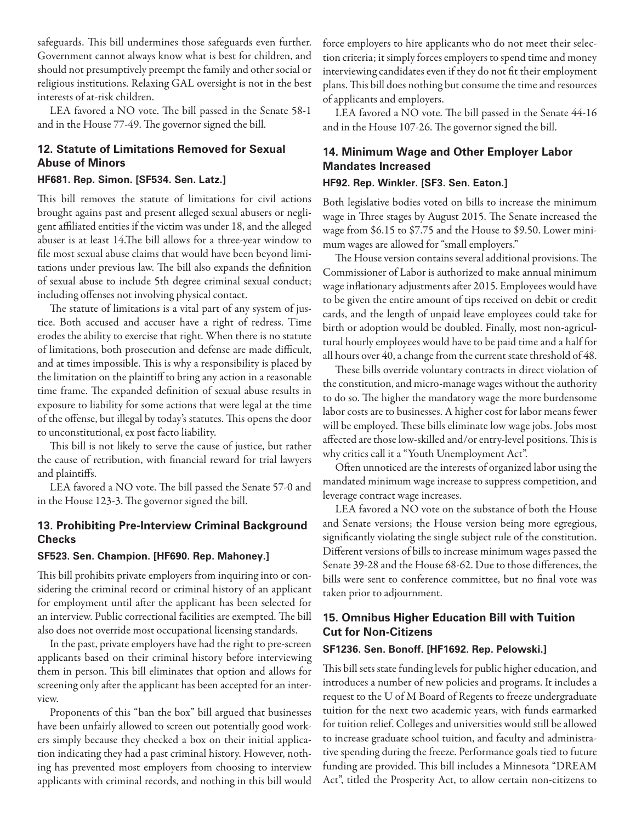safeguards. This bill undermines those safeguards even further. Government cannot always know what is best for children, and should not presumptively preempt the family and other social or religious institutions. Relaxing GAL oversight is not in the best interests of at-risk children.

LEA favored a NO vote. The bill passed in the Senate 58-1 and in the House 77-49. The governor signed the bill.

### **12. Statute of Limitations Removed for Sexual Abuse of Minors**

#### **HF681. Rep. Simon. [SF534. Sen. Latz.]**

This bill removes the statute of limitations for civil actions brought agains past and present alleged sexual abusers or negligent affiliated entities if the victim was under 18, and the alleged abuser is at least 14.The bill allows for a three-year window to file most sexual abuse claims that would have been beyond limitations under previous law. The bill also expands the definition of sexual abuse to include 5th degree criminal sexual conduct; including offenses not involving physical contact.

The statute of limitations is a vital part of any system of justice. Both accused and accuser have a right of redress. Time erodes the ability to exercise that right. When there is no statute of limitations, both prosecution and defense are made difficult, and at times impossible. This is why a responsibility is placed by the limitation on the plaintiff to bring any action in a reasonable time frame. The expanded definition of sexual abuse results in exposure to liability for some actions that were legal at the time of the offense, but illegal by today's statutes. This opens the door to unconstitutional, ex post facto liability.

This bill is not likely to serve the cause of justice, but rather the cause of retribution, with financial reward for trial lawyers and plaintiffs.

LEA favored a NO vote. The bill passed the Senate 57-0 and in the House 123-3. The governor signed the bill.

### **13. Prohibiting Pre-Interview Criminal Background Checks**

#### **SF523. Sen. Champion. [HF690. Rep. Mahoney.]**

This bill prohibits private employers from inquiring into or considering the criminal record or criminal history of an applicant for employment until after the applicant has been selected for an interview. Public correctional facilities are exempted. The bill also does not override most occupational licensing standards.

In the past, private employers have had the right to pre-screen applicants based on their criminal history before interviewing them in person. This bill eliminates that option and allows for screening only after the applicant has been accepted for an interview.

Proponents of this "ban the box" bill argued that businesses have been unfairly allowed to screen out potentially good workers simply because they checked a box on their initial application indicating they had a past criminal history. However, nothing has prevented most employers from choosing to interview applicants with criminal records, and nothing in this bill would force employers to hire applicants who do not meet their selection criteria; it simply forces employers to spend time and money interviewing candidates even if they do not fit their employment plans. This bill does nothing but consume the time and resources of applicants and employers.

LEA favored a NO vote. The bill passed in the Senate 44-16 and in the House 107-26. The governor signed the bill.

### **14. Minimum Wage and Other Employer Labor Mandates Increased**

#### **HF92. Rep. Winkler. [SF3. Sen. Eaton.]**

Both legislative bodies voted on bills to increase the minimum wage in Three stages by August 2015. The Senate increased the wage from \$6.15 to \$7.75 and the House to \$9.50. Lower minimum wages are allowed for "small employers."

The House version contains several additional provisions. The Commissioner of Labor is authorized to make annual minimum wage inflationary adjustments after 2015. Employees would have to be given the entire amount of tips received on debit or credit cards, and the length of unpaid leave employees could take for birth or adoption would be doubled. Finally, most non-agricultural hourly employees would have to be paid time and a half for all hours over 40, a change from the current state threshold of 48.

These bills override voluntary contracts in direct violation of the constitution, and micro-manage wages without the authority to do so. The higher the mandatory wage the more burdensome labor costs are to businesses. A higher cost for labor means fewer will be employed. These bills eliminate low wage jobs. Jobs most affected are those low-skilled and/or entry-level positions. This is why critics call it a "Youth Unemployment Act".

Often unnoticed are the interests of organized labor using the mandated minimum wage increase to suppress competition, and leverage contract wage increases.

LEA favored a NO vote on the substance of both the House and Senate versions; the House version being more egregious, significantly violating the single subject rule of the constitution. Different versions of bills to increase minimum wages passed the Senate 39-28 and the House 68-62. Due to those differences, the bills were sent to conference committee, but no final vote was taken prior to adjournment.

### **15. Omnibus Higher Education Bill with Tuition Cut for Non-Citizens**

#### **SF1236. Sen. Bonoff. [HF1692. Rep. Pelowski.]**

This bill sets state funding levels for public higher education, and introduces a number of new policies and programs. It includes a request to the U of M Board of Regents to freeze undergraduate tuition for the next two academic years, with funds earmarked for tuition relief. Colleges and universities would still be allowed to increase graduate school tuition, and faculty and administrative spending during the freeze. Performance goals tied to future funding are provided. This bill includes a Minnesota "DREAM Act", titled the Prosperity Act, to allow certain non-citizens to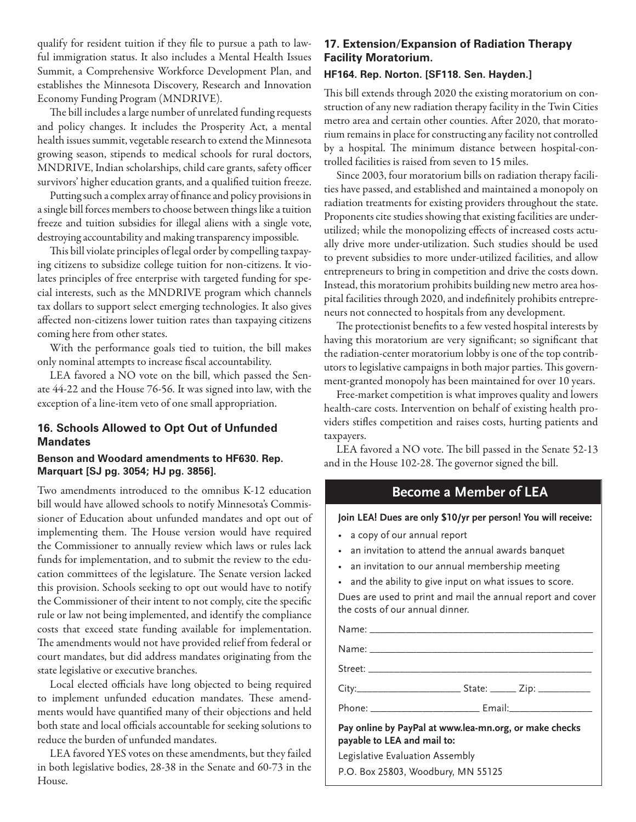qualify for resident tuition if they file to pursue a path to lawful immigration status. It also includes a Mental Health Issues Summit, a Comprehensive Workforce Development Plan, and establishes the Minnesota Discovery, Research and Innovation Economy Funding Program (MNDRIVE).

The bill includes a large number of unrelated funding requests and policy changes. It includes the Prosperity Act, a mental health issues summit, vegetable research to extend the Minnesota growing season, stipends to medical schools for rural doctors, MNDRIVE, Indian scholarships, child care grants, safety officer survivors' higher education grants, and a qualified tuition freeze.

Putting such a complex array of finance and policy provisions in a single bill forces members to choose between things like a tuition freeze and tuition subsidies for illegal aliens with a single vote, destroying accountability and making transparency impossible.

This bill violate principles of legal order by compelling taxpaying citizens to subsidize college tuition for non-citizens. It violates principles of free enterprise with targeted funding for special interests, such as the MNDRIVE program which channels tax dollars to support select emerging technologies. It also gives affected non-citizens lower tuition rates than taxpaying citizens coming here from other states.

With the performance goals tied to tuition, the bill makes only nominal attempts to increase fiscal accountability.

LEA favored a NO vote on the bill, which passed the Senate 44-22 and the House 76-56. It was signed into law, with the exception of a line-item veto of one small appropriation.

### **16. Schools Allowed to Opt Out of Unfunded Mandates**

### **Benson and Woodard amendments to HF630. Rep. Marquart [SJ pg. 3054; HJ pg. 3856].**

Two amendments introduced to the omnibus K-12 education bill would have allowed schools to notify Minnesota's Commissioner of Education about unfunded mandates and opt out of implementing them. The House version would have required the Commissioner to annually review which laws or rules lack funds for implementation, and to submit the review to the education committees of the legislature. The Senate version lacked this provision. Schools seeking to opt out would have to notify the Commissioner of their intent to not comply, cite the specific rule or law not being implemented, and identify the compliance costs that exceed state funding available for implementation. The amendments would not have provided relief from federal or court mandates, but did address mandates originating from the state legislative or executive branches.

Local elected officials have long objected to being required to implement unfunded education mandates. These amendments would have quantified many of their objections and held both state and local officials accountable for seeking solutions to reduce the burden of unfunded mandates.

LEA favored YES votes on these amendments, but they failed in both legislative bodies, 28-38 in the Senate and 60-73 in the House.

# **17. Extension/Expansion of Radiation Therapy Facility Moratorium.**

### **HF164. Rep. Norton. [SF118. Sen. Hayden.]**

This bill extends through 2020 the existing moratorium on construction of any new radiation therapy facility in the Twin Cities metro area and certain other counties. After 2020, that moratorium remains in place for constructing any facility not controlled by a hospital. The minimum distance between hospital-controlled facilities is raised from seven to 15 miles.

Since 2003, four moratorium bills on radiation therapy facilities have passed, and established and maintained a monopoly on radiation treatments for existing providers throughout the state. Proponents cite studies showing that existing facilities are underutilized; while the monopolizing effects of increased costs actually drive more under-utilization. Such studies should be used to prevent subsidies to more under-utilized facilities, and allow entrepreneurs to bring in competition and drive the costs down. Instead, this moratorium prohibits building new metro area hospital facilities through 2020, and indefinitely prohibits entrepreneurs not connected to hospitals from any development.

The protectionist benefits to a few vested hospital interests by having this moratorium are very significant; so significant that the radiation-center moratorium lobby is one of the top contributors to legislative campaigns in both major parties. This government-granted monopoly has been maintained for over 10 years.

Free-market competition is what improves quality and lowers health-care costs. Intervention on behalf of existing health providers stifles competition and raises costs, hurting patients and taxpayers.

LEA favored a NO vote. The bill passed in the Senate 52-13 and in the House 102-28. The governor signed the bill.

# **Become a Member of LEA**

### **Join LEA! Dues are only \$10/yr per person! You will receive:**

- a copy of our annual report
- an invitation to attend the annual awards banquet
- an invitation to our annual membership meeting
- and the ability to give input on what issues to score.

Dues are used to print and mail the annual report and cover the costs of our annual dinner.

Name: \_\_\_\_\_\_\_\_\_\_\_\_\_\_\_\_\_\_\_\_\_\_\_\_\_\_\_\_\_\_\_\_\_\_\_\_\_\_\_\_\_\_\_ Name: \_\_\_\_\_\_\_\_\_\_\_\_\_\_\_\_\_\_\_\_\_\_\_\_\_\_\_\_\_\_\_\_\_\_\_\_\_\_\_\_\_\_\_ Street: \_\_\_\_\_\_\_\_\_\_\_\_\_\_\_\_\_\_\_\_\_\_\_\_\_\_\_\_\_\_\_\_\_\_\_\_\_\_\_\_\_\_\_ City:\_\_\_\_\_\_\_\_\_\_\_\_\_\_\_\_\_\_\_\_ State: \_\_\_\_\_ Zip: \_\_\_\_\_\_\_\_\_\_ Phone: \_\_\_\_\_\_\_\_\_\_\_\_\_\_\_\_\_\_\_\_\_\_\_\_\_\_\_\_\_\_\_\_\_ Email:\_\_\_\_\_\_\_\_\_\_\_\_\_\_\_\_\_\_\_\_\_\_\_\_\_\_\_\_\_\_\_\_\_\_ **Pay online by PayPal at www.lea-mn.org, or make checks payable to LEA and mail to:**

Legislative Evaluation Assembly

P.O. Box 25803, Woodbury, MN 55125